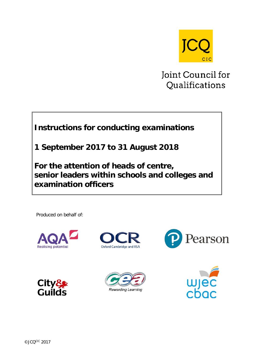

Joint Council for Qualifications

# **Instructions for conducting examinations**

**1 September 2017 to 31 August 2018**

**For the attention of heads of centre, senior leaders within schools and colleges and examination officers**

Produced on behalf of:











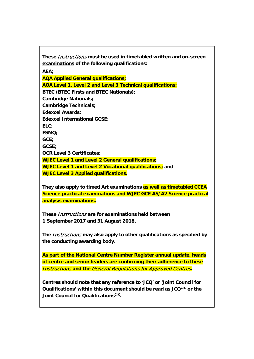**These** Instructions **must be used in timetabled written and on-screen examinations of the following qualifications:**

**AEA;**

**AQA Applied General qualifications;**

**AQA Level 1, Level 2 and Level 3 Technical qualifications; BTEC (BTEC Firsts and BTEC Nationals); Cambridge Nationals; Cambridge Technicals; Edexcel Awards; Edexcel International GCSE; ELC; FSMQ; GCE; GCSE; OCR Level 3 Certificates; WJEC Level 1 and Level 2 General qualifications; WJEC Level 1 and Level 2 Vocational qualifications; and WJEC Level 3 Applied qualifications.**

**They also apply to timed Art examinations as well as timetabled CCEA Science practical examinations and WJEC GCE AS/A2 Science practical analysis examinations.**

**These** Instructions **are for examinations held between 1 September 2017 and 31 August 2018.**

**The** Instructions **may also apply to other qualifications as specified by the conducting awarding body.**

**As part of the National Centre Number Register annual update, heads of centre and senior leaders are confirming their adherence to these**  Instructions **and the** General Regulations for Approved Centres**.**

**Centres should note that any reference to 'JCQ' or 'Joint Council for Qualifications' within this document should be read as JCQCIC or the Joint Council for Qualifications<sup>CIC</sup>.**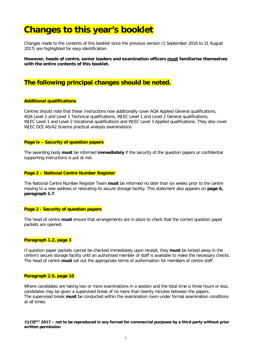# **Changes to this year's booklet**

Changes made to the contents of this booklet since the previous version (1 September 2016 to 31 August 2017) are highlighted for easy identification.

**However, heads of centre, senior leaders and examination officers must familiarise themselves with the entire contents of this booklet.**

# **The following principal changes should be noted.**

#### **Additional qualifications**

Centres should note that these *Instructions* now additionally cover AOA Applied General qualifications, AQA Level 1 and Level 2 Technical qualifications, WJEC Level 1 and Level 2 General qualifications, WJEC Level 1 and Level 2 Vocational qualifications and WJEC Level 3 Applied qualifications. They also cover WJEC GCE AS/A2 Science practical analysis examinations.

### **Page iv – Security of question papers**

The awarding body **must** be informed **immediately** if the security of the question papers or confidential supporting instructions is put at risk.

#### **Page 2 – National Centre Number Register**

The National Centre Number Register Team **must** be informed no later than six weeks prior to the centre moving to a new address or relocating its secure storage facility. This statement also appears on **page 6, paragraph 1.7**.

#### **Page 2 - Security of question papers**

The head of centre **must** ensure that arrangements are in place to check that the correct question paper packets are opened.

### **Paragraph 1.2, page 3**

If question paper packets cannot be checked immediately upon receipt, they **must** be locked away in the centre's secure storage facility until an authorised member of staff is available to make the necessary checks. The head of centre **must** set out the appropriate terms of authorisation for members of centre staff.

#### **Paragraph 2.9, page 10**

Where candidates are taking two or more examinations in a session and the total time is three hours or less, candidates may be given a supervised break of no more than twenty minutes between the papers. The supervised break **must** be conducted within the examination room under formal examination conditions at all times.

**©JCQCIC 2017 – not to be reproduced in any format for commercial purposes by a third party without prior written permission**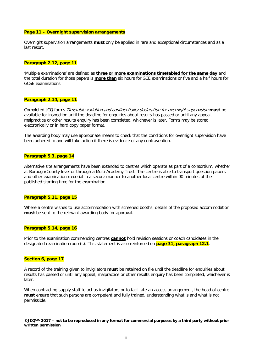#### **Page 11 – Overnight supervision arrangements**

Overnight supervision arrangements **must** only be applied in rare and exceptional circumstances and as a last resort.

#### **Paragraph 2.12, page 11**

'Multiple examinations' are defined as **three or more examinations timetabled for the same day** and the total duration for those papers is **more than** six hours for GCE examinations or five and a half hours for GCSE examinations.

#### **Paragraph 2.14, page 11**

Completed JCQ forms Timetable variation and confidentiality declaration for overnight supervision **must** be available for inspection until the deadline for enquiries about results has passed or until any appeal, malpractice or other results enquiry has been completed, whichever is later. Forms may be stored electronically or in hard copy paper format.

The awarding body may use appropriate means to check that the conditions for overnight supervision have been adhered to and will take action if there is evidence of any contravention.

#### **Paragraph 5.3, page 14**

Alternative site arrangements have been extended to centres which operate as part of a consortium, whether at Borough/County level or through a Multi-Academy Trust. The centre is able to transport question papers and other examination material in a secure manner to another local centre within 90 minutes of the published starting time for the examination.

#### **Paragraph 5.11, page 15**

Where a centre wishes to use accommodation with screened booths, details of the proposed accommodation **must** be sent to the relevant awarding body for approval.

#### **Paragraph 5.14, page 16**

Prior to the examination commencing centres **cannot** hold revision sessions or coach candidates in the designated examination room(s). This statement is also reinforced on **page 31, paragraph 12.1**.

### **Section 6, page 17**

A record of the training given to invigilators **must** be retained on file until the deadline for enquiries about results has passed or until any appeal, malpractice or other results enquiry has been completed, whichever is later.

When contracting supply staff to act as invigilators or to facilitate an access arrangement, the head of centre **must** ensure that such persons are competent and fully trained, understanding what is and what is not permissible.

#### **©JCQCIC 2017 – not to be reproduced in any format for commercial purposes by a third party without prior written permission**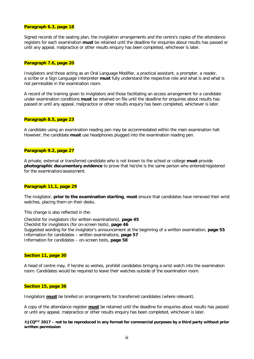#### **Paragraph 6.3, page 18**

Signed records of the seating plan, the invigilation arrangements and the centre's copies of the attendance registers for each examination **must** be retained until the deadline for enquiries about results has passed or until any appeal, malpractice or other results enquiry has been completed, whichever is later.

#### **Paragraph 7.6, page 20**

Invigilators and those acting as an Oral Language Modifier, a practical assistant, a prompter, a reader, a scribe or a Sign Language Interpreter **must** fully understand the respective role and what is and what is not permissible in the examination room.

A record of the training given to invigilators and those facilitating an access arrangement for a candidate under examination conditions **must** be retained on file until the deadline for enquiries about results has passed or until any appeal, malpractice or other results enquiry has been completed, whichever is later.

#### **Paragraph 8.5, page 23**

A candidate using an examination reading pen may be accommodated within the main examination hall. However, the candidate **must** use headphones plugged into the examination reading pen.

#### **Paragraph 9.2, page 27**

A private, external or transferred candidate who is not known to the school or college **must** provide **photographic documentary evidence** to prove that he/she is the same person who entered/registered for the examination/assessment.

#### **Paragraph 11.1, page 29**

The invigilator, **prior to the examination starting**, **must** ensure that candidates have removed their wrist watches, placing them on their desks.

This change is also reflected in the:

Checklist for invigilators (for written examinations), **page 45** Checklist for invigilators (for on-screen tests), **page 46** Suggested wording for the invigilator's announcement at the beginning of a written examination, **page 55** Information for candidates – written examinations, **page 57** Information for candidates – on-screen tests, **page 58**

### **Section 11, page 30**

A head of centre may, if he/she so wishes, prohibit candidates bringing a wrist watch into the examination room. Candidates would be required to leave their watches outside of the examination room.

#### **Section 15, page 36**

Invigilators **must** be briefed on arrangements for transferred candidates (where relevant).

A copy of the attendance register **must** be retained until the deadline for enquiries about results has passed or until any appeal, malpractice or other results enquiry has been completed, whichever is later.

**©JCQCIC 2017 – not to be reproduced in any format for commercial purposes by a third party without prior written permission**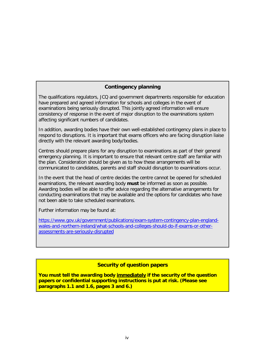# **Contingency planning**

The qualifications regulators, JCQ and government departments responsible for education have prepared and agreed information for schools and colleges in the event of examinations being seriously disrupted. This jointly agreed information will ensure consistency of response in the event of major disruption to the examinations system affecting significant numbers of candidates.

In addition, awarding bodies have their own well-established contingency plans in place to respond to disruptions. It is important that exams officers who are facing disruption liaise directly with the relevant awarding body/bodies.

Centres should prepare plans for any disruption to examinations as part of their general emergency planning. It is important to ensure that relevant centre staff are familiar with the plan. Consideration should be given as to how these arrangements will be communicated to candidates, parents and staff should disruption to examinations occur.

In the event that the head of centre decides the centre cannot be opened for scheduled examinations, the relevant awarding body **must** be informed as soon as possible. Awarding bodies will be able to offer advice regarding the alternative arrangements for conducting examinations that may be available and the options for candidates who have not been able to take scheduled examinations.

Further information may be found at:

[https://www.gov.uk/government/publications/exam-system-contingency-plan-england](https://www.gov.uk/government/publications/exam-system-contingency-plan-england-wales-and-northern-ireland/what-schools-and-colleges-should-do-if-exams-or-other-assessments-are-seriously-disrupted)[wales-and-northern-ireland/what-schools-and-colleges-should-do-if-exams-or-other](https://www.gov.uk/government/publications/exam-system-contingency-plan-england-wales-and-northern-ireland/what-schools-and-colleges-should-do-if-exams-or-other-assessments-are-seriously-disrupted)[assessments-are-seriously-disrupted](https://www.gov.uk/government/publications/exam-system-contingency-plan-england-wales-and-northern-ireland/what-schools-and-colleges-should-do-if-exams-or-other-assessments-are-seriously-disrupted)

# **Security of question papers**

**You must tell the awarding body immediately if the security of the question papers or confidential supporting instructions is put at risk. (Please see paragraphs 1.1 and 1.6, pages 3 and 6.)**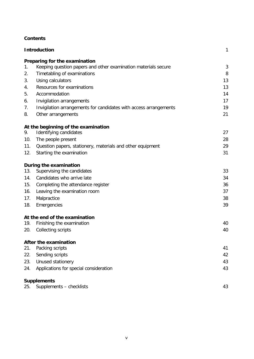# **Contents**

| <b>Introduction</b> |                                                                   |    |
|---------------------|-------------------------------------------------------------------|----|
|                     | Preparing for the examination                                     |    |
| 1.                  | Keeping question papers and other examination materials secure    | 3  |
| 2.                  | Timetabling of examinations                                       | 8  |
| 3.                  | Using calculators                                                 | 13 |
| 4.                  | Resources for examinations                                        | 13 |
| 5.                  | Accommodation                                                     | 14 |
| 6.                  | Invigilation arrangements                                         | 17 |
| 7.                  | Invigilation arrangements for candidates with access arrangements | 19 |
| 8.                  | Other arrangements                                                | 21 |
|                     | At the beginning of the examination                               |    |
| 9.                  | Identifying candidates                                            | 27 |
| 10.                 | The people present                                                | 28 |
| 11.                 | Question papers, stationery, materials and other equipment        | 29 |
| 12.                 | Starting the examination                                          | 31 |
|                     | During the examination                                            |    |
| 13.                 | Supervising the candidates                                        | 33 |
| 14.                 | Candidates who arrive late                                        | 34 |
| 15.                 | Completing the attendance register                                | 36 |
| 16.                 | Leaving the examination room                                      | 37 |
| 17.                 | Malpractice                                                       | 38 |
| 18.                 | Emergencies                                                       | 39 |
|                     | At the end of the examination                                     |    |
| 19.                 | Finishing the examination                                         | 40 |
| 20.                 | Collecting scripts                                                | 40 |
|                     | After the examination                                             |    |
| 21.                 | Packing scripts                                                   | 41 |
| 22.                 | Sending scripts                                                   | 42 |
| 23.                 | Unused stationery                                                 | 43 |
| 24.                 | Applications for special consideration                            | 43 |
|                     | <b>Supplements</b>                                                |    |
|                     | 25. Supplements - checklists                                      | 43 |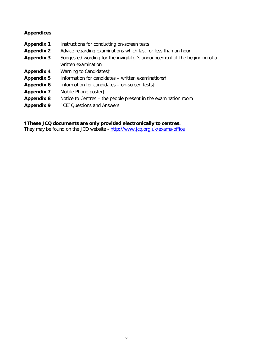# **Appendices**

| <b>Appendix 1</b> | Instructions for conducting on-screen tests                                                       |
|-------------------|---------------------------------------------------------------------------------------------------|
| <b>Appendix 2</b> | Advice regarding examinations which last for less than an hour                                    |
| <b>Appendix 3</b> | Suggested wording for the invigilator's announcement at the beginning of a<br>written examination |
| <b>Appendix 4</b> | Warning to Candidatest                                                                            |
| <b>Appendix 5</b> | Information for candidates – written examinations†                                                |
| Appendix 6        | Information for candidates – on-screen testst                                                     |
| <b>Appendix 7</b> | Mobile Phone poster†                                                                              |
| <b>Appendix 8</b> | Notice to Centres – the people present in the examination room                                    |
| <b>Appendix 9</b> | 'ICE' Questions and Answers                                                                       |

# **†These JCQ documents are only provided electronically to centres.**

They may be found on the JCQ website - <http://www.jcq.org.uk/exams-office>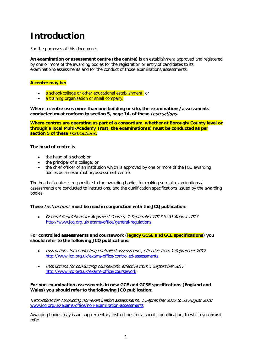# **Introduction**

For the purposes of this document:

**An examination or assessment centre (the centre)** is an establishment approved and registered by one or more of the awarding bodies for the registration or entry of candidates to its examinations/assessments and for the conduct of those examinations/assessments.

# **A centre may be:**

- a school/college or other educational establishment; or
- a training organisation or small company.

**Where a centre uses more than one building or site, the examinations/assessments conducted must conform to section 5, page 14, of these** Instructions**.**

**Where centres are operating as part of a consortium, whether at Borough/County level or through a local Multi-Academy Trust, the examination(s) must be conducted as per section 5 of these** Instructions**.**

# **The head of centre is**

- the head of a school; or
- the principal of a college; or
- the chief officer of an institution which is approved by one or more of the JCQ awarding bodies as an examination/assessment centre.

The head of centre is responsible to the awarding bodies for making sure all examinations / assessments are conducted to instructions, and the qualification specifications issued by the awarding bodies.

# **These** Instructions **must be read in conjunction with the JCQ publication:**

• General Regulations for Approved Centres, 1 September 2017 to 31 August 2018 <http://www.jcq.org.uk/exams-office/general-regulations>

# **For controlled assessments and coursework (legacy GCSE and GCE specifications) you should refer to the following JCQ publications:**

- Instructions for conducting controlled assessments, effective from 1 September 2017 <http://www.jcq.org.uk/exams-office/controlled-assessments>
- Instructions for conducting coursework, effective from 1 September 2017 <http://www.jcq.org.uk/exams-office/coursework>

### **For non-examination assessments in new GCE and GCSE specifications (England and Wales) you should refer to the following JCQ publication:**

Instructions for conducting non-examination assessments, 1 September 2017 to 31 August 2018 [www.jcq.org.uk/exams-office/non-examination-assessments](http://www.jcq.org.uk/exams-office/non-examination-assessments)

Awarding bodies may issue supplementary instructions for a specific qualification, to which you **must** refer.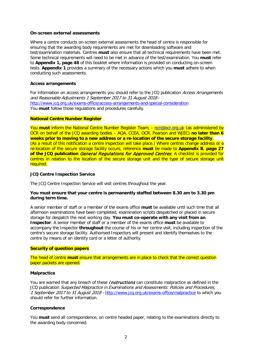#### **On-screen external assessments**

Where a centre conducts on-screen external assessments the head of centre is responsible for ensuring that the awarding body requirements are met for downloading software and test/examination materials. Centres **must** also ensure that all technical requirements have been met. Some technical requirements will need to be met in advance of the test/examination. You **must** refer to **Appendix 1, page 48** of this booklet where information is provided on conducting on-screen tests. **Appendix 1** provides a summary of the necessary actions which you **must** adhere to when conducting such assessments.

#### **Access arrangements**

For information on access arrangements you should refer to the JCQ publication Access Arrangements and Reasonable Adjustments 1 September 2017 to 31 August 2018 <http://www.jcq.org.uk/exams-office/access-arrangements-and-special-consideration> You **must** follow those regulations and procedures carefully.

### **National Centre Number Register**

You **must** inform the National Centre Number Register Team, - [ncn@ocr.org.uk](mailto:ncn@ocr.org.uk) (as administered by OCR on behalf of the JCQ awarding bodies – AQA, CCEA, OCR, Pearson and WJEC) **no later than 6 weeks prior to moving to a new address or a re-location of the secure storage facility**. (As a result of this notification a centre inspection will take place.) Where centres change address or a re-location of the secure storage facility occurs, reference **must** be made to **Appendix B**, **page 27 of the JCQ publication** General Regulations for Approved Centres. A checklist is provided for centres in relation to the location of the secure storage unit and the type of secure storage unit required.

#### **JCQ Centre Inspection Service**

The JCQ Centre Inspection Service will visit centres throughout the year.

#### **You must ensure that your centre is permanently staffed between 8.30 am to 3.30 pm during term time.**

A senior member of staff or a member of the exams office **must** be available until such time that all afternoon examinations have been completed, examination scripts despatched or placed in secure storage for despatch the next working day. **You must co-operate with any visit from an Inspector**. A senior member of staff or a member of the exams office **must** be available to accompany the Inspector **throughout** the course of his or her centre visit, including inspection of the centre's secure storage facility. Authorised Inspectors will present and identify themselves to the centre by means of an identity card or a letter of authority.

#### **Security of question papers**

The head of centre **must** ensure that arrangements are in place to check that the correct question paper packets are opened.

#### **Malpractice**

You are warned that any breach of these *Instructions* can constitute malpractice as defined in the JCQ publication Suspected Malpractice in Examinations and Assessments: Policies and Procedures, 1 September 2017 to 31 August 2018 - <http://www.jcq.org.uk/exams-office/malpractice> to which you should refer for further information.

#### **Correspondence**

You **must** send all correspondence, on centre headed paper, relating to the examinations directly to the awarding body concerned.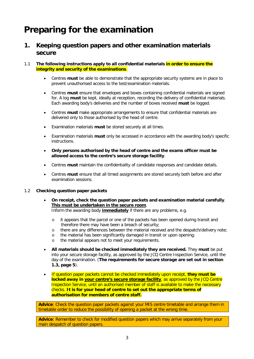# **Preparing for the examination**

# **1. Keeping question papers and other examination materials secure**

# 1.1 **The following instructions apply to all confidential materials in order to ensure the integrity and security of the examinations**.

- Centres **must** be able to demonstrate that the appropriate security systems are in place to prevent unauthorised access to the test/examination materials.
- Centres **must** ensure that envelopes and boxes containing confidential materials are signed for. A log **must** be kept, ideally at reception, recording the delivery of confidential materials. Each awarding body's deliveries and the number of boxes received **must** be logged.
- Centres **must** make appropriate arrangements to ensure that confidential materials are delivered only to those authorised by the head of centre.
- Examination materials **must** be stored securely at all times.
- Examination materials **must** only be accessed in accordance with the awarding body's specific instructions.
- **Only persons authorised by the head of centre and the exams officer must be allowed access to the centre's secure storage facility**.
- Centres **must** maintain the confidentiality of candidate responses and candidate details.
- Centres **must** ensure that all timed assignments are stored securely both before and after examination sessions.

# 1.2 **Checking question paper packets**

- **On receipt, check the question paper packets and examination material carefully**. **This must be undertaken in the secure room**. Inform the awarding body **immediately** if there are any problems, e.g.
	- o it appears that the parcel or one of the packets has been opened during transit and therefore there may have been a breach of security;
	- o there are any differences between the material received and the despatch/delivery note;
	- o the material has been significantly damaged in transit or upon opening;<br>o the material appears not to meet your requirements.
	- the material appears not to meet your requirements.
- **All materials should be checked immediately they are received.** They **must** be put into your secure storage facility, as approved by the JCQ Centre Inspection Service, until the day of the examination. (**The requirements for secure storage are set out in section 1.3, page 5**).
- If question paper packets cannot be checked immediately upon receipt, **they must be locked away in your centre's secure storage facility**, as approved by the JCQ Centre Inspection Service, until an authorised member of staff is available to make the necessary checks. **It is for your head of centre to set out the appropriate terms of authorisation for members of centre staff.**

**Advice**: Check the question paper packets against your MIS centre timetable and arrange them in timetable order to reduce the possibility of opening a packet at the wrong time.

**Advice**: Remember to check for modified question papers which may arrive separately from your main despatch of question papers.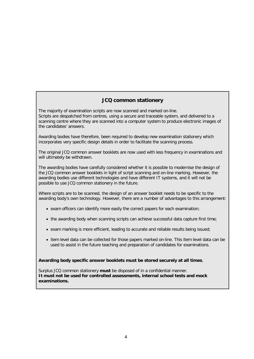# **JCQ common stationery**

The majority of examination scripts are now scanned and marked on-line. Scripts are despatched from centres, using a secure and traceable system, and delivered to a scanning centre where they are scanned into a computer system to produce electronic images of the candidates' answers.

Awarding bodies have therefore, been required to develop new examination stationery which incorporates very specific design details in order to facilitate the scanning process.

The original JCQ common answer booklets are now used with less frequency in examinations and will ultimately be withdrawn.

The awarding bodies have carefully considered whether it is possible to modernise the design of the JCQ common answer booklets in light of script scanning and on-line marking. However, the awarding bodies use different technologies and have different IT systems, and it will not be possible to use JCQ common stationery in the future.

Where scripts are to be scanned, the design of an answer booklet needs to be specific to the awarding body's own technology. However, there are a number of advantages to this arrangement:

- exam officers can identify more easily the correct papers for each examination;
- the awarding body when scanning scripts can achieve successful data capture first time;
- exam marking is more efficient, leading to accurate and reliable results being issued;
- item level data can be collected for those papers marked on-line. This item level data can be used to assist in the future teaching and preparation of candidates for examinations.

**Awarding body specific answer booklets must be stored securely at all times**.

Surplus JCQ common stationery **must** be disposed of in a confidential manner. **It must not be used for controlled assessments, internal school tests and mock examinations.**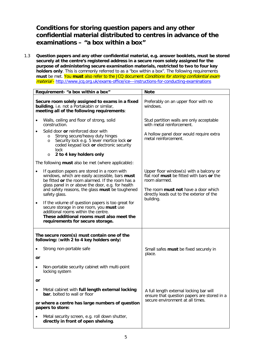# **Conditions for storing question papers and any other confidential material distributed to centres in advance of the examinations – "a box within a box"**

1.3 **Question papers and any other confidential material, e.g. answer booklets, must be stored securely at the centre's registered address in a secure room solely assigned for the purpose of administering secure examination materials, restricted to two to four key holders only**. This is commonly referred to as a "box within a box". The following requirements must be met. You must also refer to the JCQ document *Conditions for storing confidential exam* material - <http://www.jcq.org.uk/exams-office/ice---instructions-for-conducting-examinations>

|                                                                                                                                              | Requirement- "a box within a box"                                                                                                                                                                                                                                            | <b>Note</b>                                                                                                                                                                                      |  |
|----------------------------------------------------------------------------------------------------------------------------------------------|------------------------------------------------------------------------------------------------------------------------------------------------------------------------------------------------------------------------------------------------------------------------------|--------------------------------------------------------------------------------------------------------------------------------------------------------------------------------------------------|--|
| Secure room solely assigned to exams in a fixed<br>building, i.e. not a Portakabin or similar,<br>meeting all of the following requirements: |                                                                                                                                                                                                                                                                              | Preferably on an upper floor with no<br>windows.                                                                                                                                                 |  |
| ٠                                                                                                                                            | Walls, ceiling and floor of strong, solid<br>construction.                                                                                                                                                                                                                   | Stud partition walls are only acceptable<br>with metal reinforcement.                                                                                                                            |  |
|                                                                                                                                              | Solid door or reinforced door with<br>Strong secure/heavy duty hinges<br>$\circ$<br>Security lock e.g. 5 lever mortice lock or<br>$\circ$<br>coded keypad lock or electronic security<br>lock<br>2 to 4 key holders only<br>$\circ$                                          | A hollow panel door would require extra<br>metal reinforcement.                                                                                                                                  |  |
| The following <b>must</b> also be met (where applicable):                                                                                    |                                                                                                                                                                                                                                                                              |                                                                                                                                                                                                  |  |
| $\bullet$                                                                                                                                    | If question papers are stored in a room with<br>windows, which are easily accessible, bars must<br>be fitted or the room alarmed. If the room has a<br>glass panel in or above the door, e.g. for health<br>and safety reasons, the glass must be toughened<br>safety glass. | Upper floor window(s) with a balcony or<br>flat roof must be fitted with bars or the<br>room alarmed.<br>The room <b>must not</b> have a door which<br>directly leads out to the exterior of the |  |
| $\bullet$                                                                                                                                    | If the volume of question papers is too great for<br>secure storage in one room, you must use<br>additional rooms within the centre.<br>These additional rooms must also meet the<br>requirements for secure storage.                                                        | building.                                                                                                                                                                                        |  |
| The secure room(s) must contain one of the<br>following: (with 2 to 4 key holders only)                                                      |                                                                                                                                                                                                                                                                              |                                                                                                                                                                                                  |  |
|                                                                                                                                              | Strong non-portable safe                                                                                                                                                                                                                                                     | Small safes must be fixed securely in                                                                                                                                                            |  |
| or                                                                                                                                           |                                                                                                                                                                                                                                                                              | place.                                                                                                                                                                                           |  |
| $\bullet$                                                                                                                                    | Non-portable security cabinet with multi-point<br>locking system                                                                                                                                                                                                             |                                                                                                                                                                                                  |  |
| or                                                                                                                                           |                                                                                                                                                                                                                                                                              |                                                                                                                                                                                                  |  |
| $\bullet$                                                                                                                                    | Metal cabinet with full length external locking<br>bar, bolted to wall or floor                                                                                                                                                                                              | A full length external locking bar will<br>ensure that question papers are stored in a                                                                                                           |  |
| or where a centre has large numbers of question<br>papers to store:                                                                          |                                                                                                                                                                                                                                                                              | secure environment at all times.                                                                                                                                                                 |  |
|                                                                                                                                              | Metal security screen, e.g. roll down shutter,<br>directly in front of open shelving.                                                                                                                                                                                        |                                                                                                                                                                                                  |  |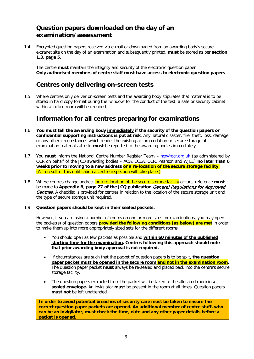# **Question papers downloaded on the day of an examination/assessment**

1.4 Encrypted question papers received via e-mail or downloaded from an awarding body's secure extranet site on the day of an examination and subsequently printed, **must** be stored as per **section 1.3, page 5**.

The centre **must** maintain the integrity and security of the electronic question paper. **Only authorised members of centre staff must have access to electronic question papers**.

# **Centres only delivering on-screen tests**

1.5 Where centres only deliver on-screen tests and the awarding body stipulates that material is to be stored in hard copy format during the 'window' for the conduct of the test, a safe or security cabinet within a locked room will be required.

# **Information for all centres preparing for examinations**

- 1.6 **You must tell the awarding body immediately if the security of the question papers or confidential supporting instructions is put at risk**. Any natural disaster, fire, theft, loss, damage or any other circumstances which render the existing accommodation or secure storage of examination materials at risk, **must** be reported to the awarding bodies immediately.
- 1.7 You must inform the National Centre Number Register Team, none ocr.org.uk (as administered by OCR on behalf of the JCQ awarding bodies – AQA, CCEA, OCR, Pearson and WJEC) **no later than 6 weeks prior to moving to a new address or a re-location of the secure storage facility**. (As a result of this notification a centre inspection will take place.)
- 1.8 Where centres change address or a re-location of the secure storage facility occurs, reference **must** be made to **Appendix B**, **page 27 of the JCQ publication** General Regulations for Approved **Centres**. A checklist is provided for centres in relation to the location of the secure storage unit and the type of secure storage unit required.

# 1.9 **Question papers should be kept in their sealed packets.**

However, if you are using a number of rooms on one or more sites for examinations, you may open the packet(s) of question papers **provided the following conditions (as below) are met** in order to make them up into more appropriately sized sets for the different rooms.

- You should open as few packets as possible and **within 60 minutes of the published starting time for the examination. Centres following this approach should note that prior awarding body approval is not required.**
- If circumstances are such that the packet of question papers is to be split, **the question paper packet must be opened in the secure room and not in the examination room.** The question paper packet **must** always be re-sealed and placed back into the centre's secure storage facility.
- The question papers extracted from the packet will be taken to the allocated room in **a sealed envelope.** An invigilator **must** be present in the room at all times. Question papers **must not** be left unattended.

**In order to avoid potential breaches of security care must be taken to ensure the correct question paper packets are opened. An additional member of centre staff, who can be an invigilator, must check the time, date and any other paper details before a packet is opened.**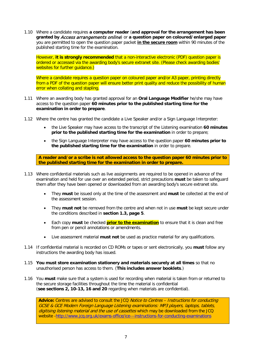1.10 Where a candidate requires **a computer reader** (**and approval for the arrangement has been granted by** Access arrangements online) or **a question paper on coloured/enlarged paper** you are permitted to open the question paper packet **in the secure room** within 90 minutes of the published starting time for the examination.

However, **it is strongly recommended** that a non-interactive electronic (PDF) question paper is ordered or accessed via the awarding body's secure extranet site. (Please check awarding bodies' websites for further quidance.)

Where a candidate requires a question paper on coloured paper and/or A3 paper, printing directly from a PDF of the question paper will ensure better print quality and reduce the possibility of human error when collating and stapling.

- 1.11 Where an awarding body has granted approval for an **Oral Language Modifier** he/she may have access to the question paper **60 minutes prior to the published starting time for the examination in order to prepare**.
- 1.12 Where the centre has granted the candidate a Live Speaker and/or a Sign Language Interpreter:
	- the Live Speaker may have access to the transcript of the Listening examination **60 minutes prior to the published starting time for the examination** in order to prepare;
	- the Sign Language Interpreter may have access to the question paper **60 minutes prior to the published starting time for the examination** in order to prepare.

**A reader and/or a scribe is not allowed access to the question paper 60 minutes prior to the published starting time for the examination in order to prepare.**

- 1.13 Where confidential materials such as live assignments are required to be opened in advance of the examination and held for use over an extended period, strict precautions **must** be taken to safeguard them after they have been opened or downloaded from an awarding body's secure extranet site.
	- They **must** be issued only at the time of the assessment and **must** be collected at the end of the assessment session.
	- They **must not** be removed from the centre and when not in use **must** be kept secure under the conditions described in **section 1.3, page 5**.
	- Each copy **must** be checked **prior to the examination** to ensure that it is clean and free from pen or pencil annotations or amendments.
	- Live assessment material **must not** be used as practice material for any qualifications.
- 1.14 If confidential material is recorded on CD ROMs or tapes or sent electronically, you **must** follow any instructions the awarding body has issued.
- 1.15 **You must store examination stationery and materials securely at all times** so that no unauthorised person has access to them. (**This includes answer booklets**.)
- 1.16 You **must** make sure that a system is used for recording when material is taken from or returned to the secure storage facilities throughout the time the material is confidential (**see sections 2, 10-13, 16 and 20** regarding when materials are confidential).

Advice: Centres are advised to consult the JCQ Notice to Centres - Instructions for conducting GCSE & GCE Modern Foreign Language Listening examinations: MP3 players, laptops, tablets, digitising listening material and the use of cassettes which may be downloaded from the JCQ website [-http://www.jcq.org.uk/exams-office/ice---instructions-for-conducting-examinations](http://www.jcq.org.uk/exams-office/ice---instructions-for-conducting-examinations)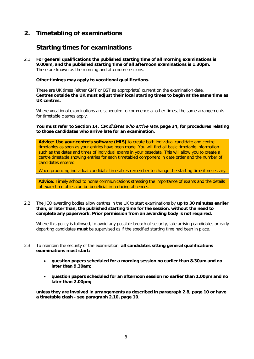# **2. Timetabling of examinations**

# **Starting times for examinations**

2.1 **For general qualifications the published starting time of all morning examinations is 9.00am, and the published starting time of all afternoon examinations is 1.30pm.** These are known as the morning and afternoon sessions.

**Other timings may apply to vocational qualifications.**

These are UK times (either GMT or BST as appropriate) current on the examination date. **Centres outside the UK must adjust their local starting times to begin at the same time as UK centres.**

Where vocational examinations are scheduled to commence at other times, the same arrangements for timetable clashes apply.

**You must refer to Section 14,** Candidates who arrive late**, page 34, for procedures relating to those candidates who arrive late for an examination.**

**Advice**: **Use your centre's software (MIS)** to create both individual candidate and centre timetables as soon as your entries have been made. You will find all basic timetable information such as the dates and times of individual exams in your basedata. This will allow you to create a centre timetable showing entries for each timetabled component in date order and the number of candidates entered.

When producing individual candidate timetables remember to change the starting time if necessary.

**Advice**: Timely school to home communications stressing the importance of exams and the details of exam timetables can be beneficial in reducing absences.

2.2 The JCQ awarding bodies allow centres in the UK to start examinations by **up to 30 minutes earlier than, or later than, the published starting time for the session, without the need to complete any paperwork. Prior permission from an awarding body is not required.**

Where this policy is followed, to avoid any possible breach of security, late arriving candidates or early departing candidates **must** be supervised as if the specified starting time had been in place.

- 2.3 To maintain the security of the examination, **all candidates sitting general qualifications examinations must start:**
	- **question papers scheduled for a morning session no earlier than 8.30am and no later than 9.30am;**
	- **question papers scheduled for an afternoon session no earlier than 1.00pm and no later than 2.00pm;**

**unless they are involved in arrangements as described in paragraph 2.8, page 10 or have a timetable clash - see paragraph 2.10, page 10**.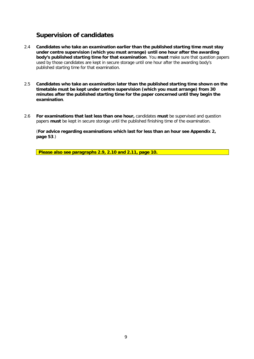# **Supervision of candidates**

- 2.4 **Candidates who take an examination earlier than the published starting time must stay under centre supervision (which you must arrange) until one hour after the awarding body's published starting time for that examination**. You **must** make sure that question papers used by those candidates are kept in secure storage until one hour after the awarding body's published starting time for that examination.
- 2.5 **Candidates who take an examination later than the published starting time shown on the timetable must be kept under centre supervision (which you must arrange) from 30 minutes after the published starting time for the paper concerned until they begin the examination**.
- 2.6 **For examinations that last less than one hour,** candidates **must** be supervised and question papers **must** be kept in secure storage until the published finishing time of the examination.

(**For advice regarding examinations which last for less than an hour see Appendix 2, page 53**.)

**Please also see paragraphs 2.9, 2.10 and 2.11, page 10.**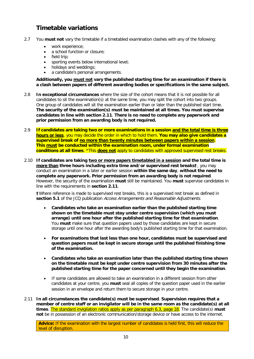# **Timetable variations**

- 2.7 You **must not** vary the timetable if a timetabled examination clashes with any of the following:
	- work experience;
	- a school function or closure:
	- field trip;
	- sporting events below international level;
	- holidays and weddings;
	- a candidate's personal arrangements.

**Additionally, you must not vary the published starting time for an examination if there is a clash between papers of different awarding bodies or specifications in the same subject.**

- 2.8 **In exceptional circumstances** where the size of the cohort means that it is not possible for all candidates to sit the examination(s) at the same time, you may split the cohort into two groups. One group of candidates will sit the examination earlier than or later than the published start time. **The security of the examination(s) must be maintained at all times. You must supervise candidates in line with section 2.11**. **There is no need to complete any paperwork and prior permission from an awarding body is not required.**
- 2.9 **If candidates are taking two or more examinations in a session and the total time is three hours or less**, you may decide the order in which to hold them. **You may also give candidates a supervised break of no more than twenty minutes between papers within a session**. **This must be conducted within the examination room, under formal examination conditions at all times**. \*This **does not** apply to candidates with approved supervised rest breaks.
- 2.10 **If candidates are taking two or more papers timetabled in a session and the total time is more than three hours including extra time and/or supervised rest breaks†**, you may conduct an examination in a later or earlier session **within the same day**, **without the need to complete any paperwork. Prior permission from an awarding body is not required**. However, the security of the examination **must** still be maintained. You **must** supervise candidates in line with the requirements in **section 2.11**.

**†**Where reference is made to supervised rest breaks, this is a supervised rest break as defined in **section 5.1** of the JCQ publication Access Arrangements and Reasonable Adjustments.

- **Candidates who take an examination earlier than the published starting time shown on the timetable must stay under centre supervision (which you must arrange) until one hour after the published starting time for that examination**. You **must** make sure that question papers used by those candidates are kept in secure storage until one hour after the awarding body's published starting time for that examination.
- **For examinations that last less than one hour, candidates must be supervised and question papers must be kept in secure storage until the published finishing time of the examination.**
- **Candidates who take an examination later than the published starting time shown on the timetable must be kept under centre supervision from 30 minutes after the published starting time for the paper concerned until they begin the examination**.
- If some candidates are allowed to take an examination in a different session from other candidates at your centre, you **must** seal all copies of the question paper used in the earlier session in an envelope and return them to secure storage in your centre.
- 2.11 **In all circumstances the candidate(s) must be supervised**. **Supervision requires that a member of centre staff or an invigilator will be in the same room as the candidate(s) at all times**. The standard invigilation ratios apply as per paragraph 6.3, page 18. The candidate(s) **must not** be in possession of an electronic communication/storage device or have access to the internet.

**Advice:** If the examination with the largest number of candidates is held first, this will reduce the level of disruption.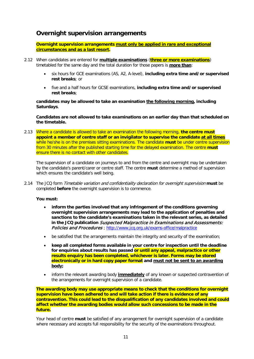# **Overnight supervision arrangements**

**Overnight supervision arrangements must only be applied in rare and exceptional circumstances and as a last resort.**

- 2.12 When candidates are entered for **multiple examinations** (**three or more examinations**) timetabled for the same day and the total duration for those papers is **more than**:
	- six hours for GCE examinations (AS, A2, A-level), **including extra time and/or supervised rest breaks**; or
	- five and a half hours for GCSE examinations, **including extra time and/or supervised rest breaks**;

**candidates may be allowed to take an examination the following morning, including Saturdays**.

**Candidates are not allowed to take examinations on an earlier day than that scheduled on the timetable.**

2.13 Where a candidate is allowed to take an examination the following morning, **the centre must appoint a member of centre staff or an invigilator to supervise the candidate at all times** while he/she is on the premises sitting examinations. The candidate **must** be under centre supervision from 30 minutes after the published starting time for the delayed examination. The centre **must** ensure there is no contact with other candidates.

The supervision of a candidate on journeys to and from the centre and overnight may be undertaken by the candidate's parent/carer or centre staff. The centre **must** determine a method of supervision which ensures the candidate's well being.

2.14 The JCQ form Timetable variation and confidentiality declaration for overnight supervision **must** be completed **before** the overnight supervision is to commence.

# **You must:**

- **inform the parties involved that any infringement of the conditions governing overnight supervision arrangements may lead to the application of penalties and sanctions to the candidate's examinations taken in the relevant series, as detailed in the JCQ publication** Suspected Malpractice in Examinations and Assessments: Policies and Procedures ; <http://www.jcq.org.uk/exams-office/malpractice>
- be satisfied that the arrangements maintain the integrity and security of the examination;
- **keep all completed forms available in your centre for inspection until the deadline for enquiries about results has passed or until any appeal, malpractice or other results enquiry has been completed, whichever is later. Forms may be stored electronically or in hard copy paper format and must not be sent to an awarding body;**
- inform the relevant awarding body **immediately** of any known or suspected contravention of the arrangements for overnight supervision of a candidate.

**The awarding body may use appropriate means to check that the conditions for overnight supervision have been adhered to and will take action if there is evidence of any contravention. This could lead to the disqualification of any candidates involved and could affect whether the awarding bodies would allow such concessions to be made in the future.**

Your head of centre **must** be satisfied of any arrangement for overnight supervision of a candidate where necessary and accepts full responsibility for the security of the examinations throughout.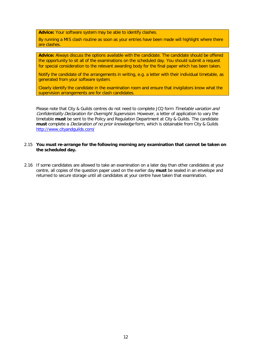**Advice:** Your software system may be able to identify clashes.

By running a MIS clash routine as soon as your entries have been made will highlight where there are clashes.

**Advice:** Always discuss the options available with the candidate. The candidate should be offered the opportunity to sit all of the examinations on the scheduled day. You should submit a request for special consideration to the relevant awarding body for the final paper which has been taken.

Notify the candidate of the arrangements in writing, e.g. a letter with their individual timetable, as generated from your software system.

Clearly identify the candidate in the examination room and ensure that invigilators know what the supervision arrangements are for clash candidates.

Please note that City & Guilds centres do not need to complete JCQ form Timetable variation and Confidentiality Declaration for Overnight Supervision. However, a letter of application to vary the timetable **must** be sent to the Policy and Regulation Department at City & Guilds. The candidate **must** complete a Declaration of no prior knowledge form, which is obtainable from City & Guilds <http://www.cityandguilds.com/>

#### 2.15 **You must re-arrange for the following morning any examination that cannot be taken on the scheduled day.**

2.16 If some candidates are allowed to take an examination on a later day than other candidates at your centre, all copies of the question paper used on the earlier day **must** be sealed in an envelope and returned to secure storage until all candidates at your centre have taken that examination.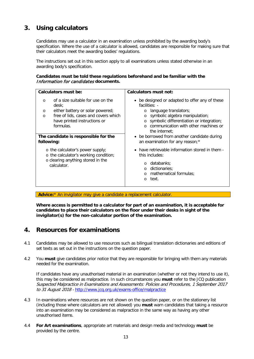# **3. Using calculators**

Candidates may use a calculator in an examination unless prohibited by the awarding body's specification. Where the use of a calculator is allowed, candidates are responsible for making sure that their calculators meet the awarding bodies' regulations.

The instructions set out in this section apply to all examinations unless stated otherwise in an awarding body's specification.

# **Candidates must be told these regulations beforehand and be familiar with the**  Information for candidates **documents.**

| Calculators must be:                                                                                                                                                                                                                                         | <b>Calculators must not:</b>                                                                                                                                                                                                                                                                                                         |
|--------------------------------------------------------------------------------------------------------------------------------------------------------------------------------------------------------------------------------------------------------------|--------------------------------------------------------------------------------------------------------------------------------------------------------------------------------------------------------------------------------------------------------------------------------------------------------------------------------------|
| of a size suitable for use on the<br>$\Omega$<br>desk;<br>either battery or solar powered;<br>$\circ$<br>free of lids, cases and covers which<br>$\Omega$<br>have printed instructions or<br>formulas.<br>The candidate is responsible for the<br>following: | • be designed or adapted to offer any of these<br>facilities: -<br>language translators;<br>symbolic algebra manipulation;<br>symbolic differentiation or integration;<br>$\circ$<br>$\circ$ communication with other machines or<br>the internet:<br>• be borrowed from another candidate during<br>an examination for any reason;* |
| o the calculator's power supply;<br>o the calculator's working condition;<br>o clearing anything stored in the<br>calculator.                                                                                                                                | • have retrievable information stored in them -<br>this includes:<br>databanks;<br>$\circ$<br>o dictionaries;<br>o mathematical formulas;<br>text.<br>$\circ$                                                                                                                                                                        |

**Advice:**\* An invigilator may give a candidate a replacement calculator.

**Where access is permitted to a calculator for part of an examination, it is acceptable for candidates to place their calculators on the floor under their desks in sight of the invigilator(s) for the non-calculator portion of the examination.**

# **4. Resources for examinations**

- 4.1 Candidates may be allowed to use resources such as bilingual translation dictionaries and editions of set texts as set out in the instructions on the question paper.
- 4.2 You **must** give candidates prior notice that they are responsible for bringing with them any materials needed for the examination.

If candidates have any unauthorised material in an examination (whether or not they intend to use it), this may be considered as malpractice. In such circumstances you **must** refer to the JCQ publication Suspected Malpractice in Examinations and Assessments: Policies and Procedures, 1 September 2017 to 31 August 2018 - <http://www.jcq.org.uk/exams-office/malpractice>

- 4.3 In examinations where resources are not shown on the question paper, or on the stationery list (including those where calculators are not allowed) you **must** warn candidates that taking a resource into an examination may be considered as malpractice in the same way as having any other unauthorised items.
- 4.4 **For Art examinations**, appropriate art materials and design media and technology **must** be provided by the centre.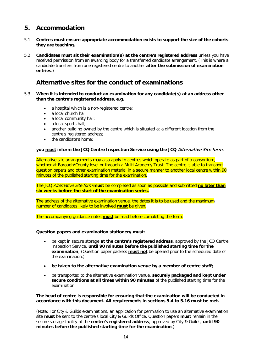# **5. Accommodation**

- 5.1 **Centres must ensure appropriate accommodation exists to support the size of the cohorts they are teaching.**
- 5.2 **Candidates must sit their examination(s) at the centre's registered address** unless you have received permission from an awarding body for a transferred candidate arrangement. (This is where a candidate transfers from one registered centre to another **after the submission of examination entries**.)

# **Alternative sites for the conduct of examinations**

- 5.3 **When it is intended to conduct an examination for any candidate(s) at an address other than the centre's registered address, e.g.**
	- a hospital which is a non-registered centre;
	- a local church hall;
	- a local community hall:
	- a local sports hall;
	- another building owned by the centre which is situated at a different location from the centre's registered address;
	- the candidate's home:

# **you must inform the JCQ Centre Inspection Service using the JCQ** Alternative Site form**.**

Alternative site arrangements may also apply to centres which operate as part of a consortium, whether at Borough/County level or through a Multi-Academy Trust. The centre is able to transport question papers and other examination material in a secure manner to another local centre within 90 minutes of the published starting time for the examination.

The JCQ Alternative Site form **must** be completed as soon as possible and submitted **no later than six weeks before the start of the examination series.**

The address of the alternative examination venue, the dates it is to be used and the maximum number of candidates likely to be involved **must** be given.

The accompanying guidance notes **must** be read before completing the form.

# **Question papers and examination stationery must:**

- be kept in secure storage **at the centre's registered address**, approved by the JCQ Centre Inspection Service, **until 90 minutes before the published starting time for the examination**; (Question paper packets **must not** be opened prior to the scheduled date of the examination.)
- **be taken to the alternative examination venue by a member of centre staff;**
- be transported to the alternative examination venue, **securely packaged and kept under secure conditions at all times within 90 minutes** of the published starting time for the examination.

# **The head of centre is responsible for ensuring that the examination will be conducted in accordance with this document. All requirements in sections 5.4 to 5.16 must be met.**

(Note: For City & Guilds examinations, an application for permission to use an alternative examination site **must** be sent to the centre's local City & Guilds Office. Question papers **must** remain in the secure storage facility at the **centre's registered address**, approved by City & Guilds, **until 90 minutes before the published starting time for the examination**.)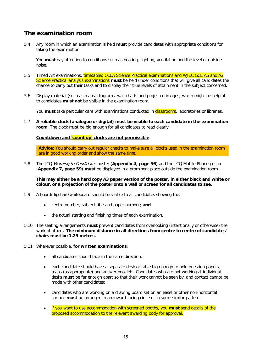# **The examination room**

5.4 Any room in which an examination is held **must** provide candidates with appropriate conditions for taking the examination.

You **must** pay attention to conditions such as heating, lighting, ventilation and the level of outside noise.

- 5.5 Timed Art examinations, timetabled CCEA Science Practical examinations and WJEC GCE AS and A2 Science Practical analysis examinations **must** be held under conditions that will give all candidates the chance to carry out their tasks and to display their true levels of attainment in the subject concerned.
- 5.6 Display material (such as maps, diagrams, wall charts and projected images) which might be helpful to candidates **must not** be visible in the examination room.

You **must** take particular care with examinations conducted in **classrooms**, laboratories or libraries.

5.7 **A reliable clock (analogue or digital) must be visible to each candidate in the examination room**. The clock must be big enough for all candidates to read clearly.

**Countdown and 'count up' clocks are not permissible**.

**Advice:** You should carry out regular checks to make sure all clocks used in the examination room are in good working order and show the same time.

5.8 The JCQ Warning to Candidates poster (**Appendix 4, page 56**) and the JCQ Mobile Phone poster (**Appendix 7, page 59**) **must** be displayed in a prominent place outside the examination room.

**This may either be a hard copy A3 paper version of the poster, in either black and white or colour, or a projection of the poster onto a wall or screen for all candidates to see.**

- 5.9 A board/flipchart/whiteboard should be visible to all candidates showing the:
	- centre number, subject title and paper number; **and**
	- the actual starting and finishing times of each examination.
- 5.10 The seating arrangements **must** prevent candidates from overlooking (intentionally or otherwise) the work of others. **The minimum distance in all directions from centre to centre of candidates' chairs must be 1.25 metres.**
- 5.11 Wherever possible, **for written examinations**:
	- all candidates should face in the same direction:
	- each candidate should have a separate desk or table big enough to hold question papers, maps (as appropriate) and answer booklets. Candidates who are not working at individual desks **must** be far enough apart so that their work cannot be seen by, and contact cannot be made with other candidates;
	- candidates who are working on a drawing board set on an easel or other non-horizontal surface **must** be arranged in an inward-facing circle or in some similar pattern;
	- if you want to use accommodation with screened booths, you **must** send details of the proposed accommodation to the relevant awarding body for approval.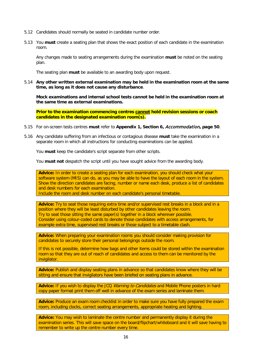- 5.12 Candidates should normally be seated in candidate number order.
- 5.13 You **must** create a seating plan that shows the exact position of each candidate in the examination room.

Any changes made to seating arrangements during the examination **must** be noted on the seating plan.

The seating plan **must** be available to an awarding body upon request.

5.14 **Any other written external examination may be held in the examination room at the same time, as long as it does not cause any disturbance**.

**Mock examinations and internal school tests cannot be held in the examination room at the same time as external examinations.**

**Prior to the examination commencing centres cannot hold revision sessions or coach candidates in the designated examination room(s).**

- 5.15 For on-screen tests centres **must** refer to **Appendix 1, Section 6,** Accommodation**, page 50**.
- 5.16 Any candidate suffering from an infectious or contagious disease **must** take the examination in a separate room in which all instructions for conducting examinations can be applied.

You **must** keep the candidate's script separate from other scripts.

You **must not** despatch the script until you have sought advice from the awarding body.

**Advice:** In order to create a seating plan for each examination, you should check what your software system (MIS) can do, as you may be able to have the layout of each room in the system. Show the direction candidates are facing, number or name each desk, produce a list of candidates and desk numbers for each examination.

Include the room and desk number on each candidate's personal timetable.

**Advice:** Try to seat those requiring extra time and/or supervised rest breaks in a block and in a position where they will be least disturbed by other candidates leaving the room. Try to seat those sitting the same paper(s) together in a block wherever possible. Consider using colour-coded cards to denote those candidates with access arrangements, for example extra time, supervised rest breaks or those subject to a timetable clash.

**Advice:** When preparing your examination rooms you should consider making provision for candidates to securely store their personal belongings outside the room.

If this is not possible, determine how bags and other items could be stored within the examination room so that they are out of reach of candidates and access to them can be monitored by the invigilator.

**Advice:** Publish and display seating plans in advance so that candidates know where they will be sitting and ensure that invigilators have been briefed on seating plans in advance.

Advice: If you wish to display the JCQ *Warning to Candidates* and Mobile Phone posters in hard copy paper format print them off well in advance of the exam series and laminate them.

**Advice:** Produce an exam room checklist in order to make sure you have fully prepared the exam room, including clocks, correct seating arrangements, appropriate heating and lighting.

**Advice:** You may wish to laminate the centre number and permanently display it during the examination series. This will save space on the board/flipchart/whiteboard and it will save having to remember to write up the centre number every time.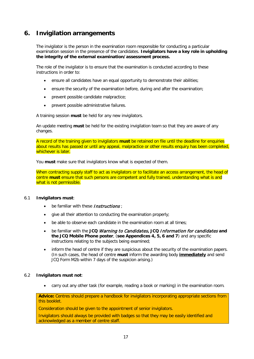# **6. Invigilation arrangements**

The invigilator is the person in the examination room responsible for conducting a particular examination session in the presence of the candidates. **Invigilators have a key role in upholding the integrity of the external examination/assessment process.**

The role of the invigilator is to ensure that the examination is conducted according to these instructions in order to:

- ensure all candidates have an equal opportunity to demonstrate their abilities;
- ensure the security of the examination before, during and after the examination;
- prevent possible candidate malpractice;
- prevent possible administrative failures.

A training session **must** be held for any new invigilators.

An update meeting **must** be held for the existing invigilation team so that they are aware of any changes.

A record of the training given to invigilators **must** be retained on file until the deadline for enquiries about results has passed or until any appeal, malpractice or other results enquiry has been completed, whichever is later.

You **must** make sure that invigilators know what is expected of them.

When contracting supply staff to act as invigilators or to facilitate an access arrangement, the head of centre **must** ensure that such persons are competent and fully trained, understanding what is and what is not permissible.

#### 6.1 **Invigilators must**:

- be familiar with these **Instructions**;
- give all their attention to conducting the examination properly;
- be able to observe each candidate in the examination room at all times;
- be familiar with the **JCQ** Warning to Candidates**, JCQ** Information for candidates **and the JCQ Mobile Phone poster**, (**see Appendices 4, 5, 6 and 7**) and any specific instructions relating to the subjects being examined;
- inform the head of centre if they are suspicious about the security of the examination papers. (In such cases, the head of centre **must** inform the awarding body **immediately** and send JCQ Form M2b within 7 days of the suspicion arising.)

#### 6.2 **Invigilators must not**:

• carry out any other task (for example, reading a book or marking) in the examination room.

**Advice:** Centres should prepare a handbook for invigilators incorporating appropriate sections from this booklet.

Consideration should be given to the appointment of senior invigilators.

Invigilators should always be provided with badges so that they may be easily identified and acknowledged as a member of centre staff.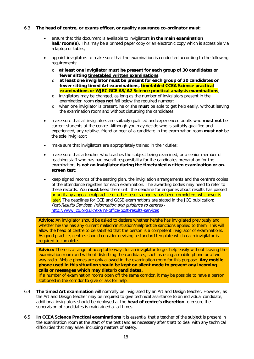### 6.3 **The head of centre, or exams officer, or quality assurance co-ordinator must**:

- ensure that this document is available to invigilators **in the main examination hall/room(s)**. This may be a printed paper copy or an electronic copy which is accessible via a laptop or tablet;
- appoint invigilators to make sure that the examination is conducted according to the following requirements:
	- o **at least one invigilator must be present for each group of 30 candidates or fewer sitting timetabled written examinations**;
	- o **at least one invigilator must be present for each group of 20 candidates or fewer sitting timed Art examinations, timetabled CCEA Science practical examinations or WJEC GCE AS/A2 Science practical analysis examinations**;
	- o invigilators may be changed, as long as the number of invigilators present in the examination room **does not** fall below the required number;
	- o when one invigilator is present, he or she **must** be able to get help easily, without leaving the examination room and without disturbing the candidates;
- make sure that all invigilators are suitably qualified and experienced adults who **must not** be current students at the centre. Although you may decide who is suitably qualified and experienced, any relative, friend or peer of a candidate in the examination room **must not** be the sole invigilator;
- make sure that invigilators are appropriately trained in their duties;
- make sure that a teacher who teaches the subject being examined, or a senior member of teaching staff who has had overall responsibility for the candidates preparation for the examination, **is not an invigilator during the timetabled written examination or onscreen test**;
- keep signed records of the seating plan, the invigilation arrangements and the centre's copies of the attendance registers for each examination. The awarding bodies may need to refer to these records. You **must** keep them until the deadline for enquiries about results has passed or until any appeal, malpractice or other results enquiry has been completed, whichever is later. The deadlines for GCE and GCSE examinations are stated in the JCQ publication: Post-Results Services, Information and guidance to centres <http://www.jcq.org.uk/exams-office/post-results-services>

**Advice:** An invigilator should be asked to declare whether he/she has invigilated previously and whether he/she has any current maladministration/malpractice sanctions applied to them. This will allow the head of centre to be satisfied that the person is a competent invigilator of examinations. As good practice, centres should consider devising a standard template which each invigilator is required to complete.

**Advice:** There is a range of acceptable ways for an invigilator to get help easily without leaving the examination room and without disturbing the candidates, such as using a mobile phone or a twoway radio. Mobile phones are only allowed in the examination room for this purpose. **Any mobile phone used in this situation should be kept on silent mode to prevent any incoming calls or messages which may disturb candidates.**

If a number of examination rooms open off the same corridor, it may be possible to have a person stationed in the corridor to give or ask for help.

- 6.4 **The timed Art examination** will normally be invigilated by an Art and Design teacher. However, as the Art and Design teacher may be required to give technical assistance to an individual candidate, additional invigilators should be deployed at the **head of centre's discretion** to ensure the supervision of candidates is maintained at all times.
- 6.5 **In CCEA Science Practical examinations** it is essential that a teacher of the subject is present in the examination room at the start of the test (and as necessary after that) to deal with any technical difficulties that may arise, including matters of safety.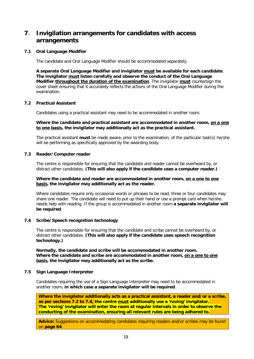# **7**. **Invigilation arrangements for candidates with access arrangements**

# **7.1 Oral Language Modifier**

The candidate and Oral Language Modifier should be accommodated separately.

**A separate Oral Language Modifier and invigilator must be available for each candidate**. **The invigilator must listen carefully and observe the conduct of the Oral Language Modifier throughout the duration of the examination**. The invigilator **must** countersign the cover sheet ensuring that it accurately reflects the actions of the Oral Language Modifier during the examination.

# **7.2 Practical Assistant**

Candidates using a practical assistant may need to be accommodated in another room.

# **Where the candidate and practical assistant are accommodated in another room, on a one to one basis, the invigilator may additionally act as the practical assistant.**

The practical assistant **must** be made aware, prior to the examination, of the particular task(s) he/she will be performing as specifically approved by the awarding body.

# **7.3 Reader/Computer reader**

The centre is responsible for ensuring that the candidate and reader cannot be overheard by, or distract other candidates. **(This will also apply if the candidate uses a computer reader.)**

### **Where the candidate and reader are accommodated in another room, on a one to one basis, the invigilator may additionally act as the reader.**

Where candidates require only occasional words or phrases to be read, three or four candidates may share one reader. The candidate will need to put up their hand or use a prompt card when he/she needs help with reading. If the group is accommodated in another room **a separate invigilator will be required**.

# **7.4 Scribe/Speech recognition technology**

The centre is responsible for ensuring that the candidate and scribe cannot be overheard by, or distract other candidates. **(This will also apply if the candidate uses speech recognition technology.)**

**Normally, the candidate and scribe will be accommodated in another room. Where the candidate and scribe are accommodated in another room, on a one to one basis, the invigilator may additionally act as the scribe.**

# **7.5 Sign Language Interpreter**

Candidates requiring the use of a Sign Language Interpreter may need to be accommodated in another room, **in which case a separate invigilator will be required**.

**Where the invigilator additionally acts as a practical assistant, a reader and/or a scribe, as per sections 7.2 to 7.4, the centre must additionally use a 'roving' invigilator. The 'roving' invigilator will enter the room at regular intervals in order to observe the conducting of the examination, ensuring all relevant rules are being adhered to.**

Advice: Suggestions on accommodating candidates requiring readers and/or scribes may be found on **page 64**.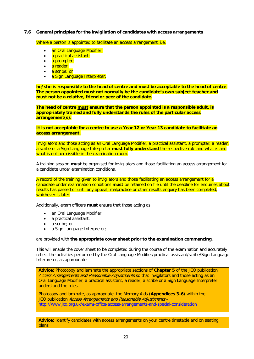## **7.6 General principles for the invigilation of candidates with access arrangements**

Where a person is appointed to facilitate an access arrangement, i.e.

- an Oral Language Modifier;
- a practical assistant;
- a prompter;
- a reader;
- a scribe; or
- a Sign Language Interpreter;

**he/she is responsible to the head of centre and must be acceptable to the head of centre**. **The person appointed must not normally be the candidate's own subject teacher and must not be a relative, friend or peer of the candidate.**

**The head of centre must ensure that the person appointed is a responsible adult, is appropriately trained and fully understands the rules of the particular access arrangement(s).**

**It is not acceptable for a centre to use a Year 12 or Year 13 candidate to facilitate an access arrangement.**

Invigilators and those acting as an Oral Language Modifier, a practical assistant, a prompter, a reader, a scribe or a Sign Language Interpreter **must fully understand** the respective role and what is and what is not permissible in the examination room.

A training session **must** be organised for invigilators and those facilitating an access arrangement for a candidate under examination conditions.

A record of the training given to invigilators and those facilitating an access arrangement for a candidate under examination conditions **must** be retained on file until the deadline for enquiries about results has passed or until any appeal, malpractice or other results enquiry has been completed, whichever is later.

Additionally, exam officers **must** ensure that those acting as:

- an Oral Language Modifier;
- a practical assistant;
- a scribe; or
- a Sign Language Interpreter;

are provided with **the appropriate cover sheet prior to the examination commencing**.

This will enable the cover sheet to be completed during the course of the examination and accurately reflect the activities performed by the Oral Language Modifier/practical assistant/scribe/Sign Language Interpreter, as appropriate.

**Advice:** Photocopy and laminate the appropriate sections of **Chapter 5** of the JCQ publication Access Arrangements and Reasonable Adjustments so that invigilators and those acting as an Oral Language Modifier, a practical assistant, a reader, a scribe or a Sign Language Interpreter understand the rules.

Photocopy and laminate, as appropriate, the Memory Aids (**Appendices 3-6**) within the JCQ publication Access Arrangements and Reasonable Adjustments <http://www.jcq.org.uk/exams-office/access-arrangements-and-special-consideration>

**Advice:** Identify candidates with access arrangements on your centre timetable and on seating plans.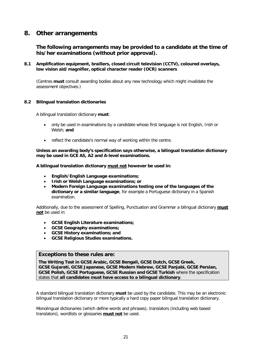# **8. Other arrangements**

**The following arrangements may be provided to a candidate at the time of his/her examinations (without prior approval).**

**8.1 Amplification equipment, braillers, closed circuit television (CCTV), coloured overlays, low vision aid/magnifier, optical character reader (OCR) scanners**

(Centres **must** consult awarding bodies about any new technology which might invalidate the assessment objectives.)

# **8.2 Bilingual translation dictionaries**

A bilingual translation dictionary **must**:

- only be used in examinations by a candidate whose first language is not English, Irish or Welsh; **and**
- reflect the candidate's normal way of working within the centre.

**Unless an awarding body's specification says otherwise, a bilingual translation dictionary may be used in GCE AS, A2 and A-level examinations.**

**A bilingual translation dictionary must not however be used in:**

- **English/English Language examinations;**
- **Irish or Welsh Language examinations; or**
- **Modern Foreign Language examinations testing one of the languages of the dictionary or a similar language**, for example a Portuguese dictionary in a Spanish examination.

Additionally, due to the assessment of Spelling, Punctuation and Grammar a bilingual dictionary **must not** be used in:

- **GCSE English Literature examinations;**
- **GCSE Geography examinations;**
- **GCSE History examinations; and**
- **GCSE Religious Studies examinations.**

# **Exceptions to these rules are:**

**The Writing Test in GCSE Arabic, GCSE Bengali, GCSE Dutch, GCSE Greek, GCSE Gujarati, GCSE Japanese, GCSE Modern Hebrew, GCSE Panjabi, GCSE Persian, GCSE Polish, GCSE Portuguese, GCSE Russian and GCSE Turkish** where the specification states that **all candidates must have access to a bilingual dictionary**.

A standard bilingual translation dictionary **must** be used by the candidate. This may be an electronic bilingual translation dictionary or more typically a hard copy paper bilingual translation dictionary.

Monolingual dictionaries (which define words and phrases), translators (including web based translators), wordlists or glossaries **must not** be used.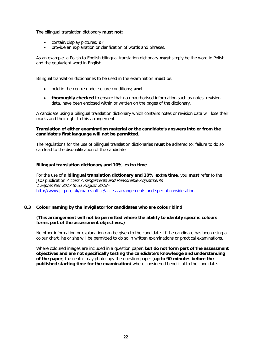The bilingual translation dictionary **must not:**

- contain/display pictures; **or**
- provide an explanation or clarification of words and phrases.

As an example, a Polish to English bilingual translation dictionary **must** simply be the word in Polish and the equivalent word in English.

Bilingual translation dictionaries to be used in the examination **must** be:

- held in the centre under secure conditions; **and**
- **thoroughly checked** to ensure that no unauthorised information such as notes, revision data, have been enclosed within or written on the pages of the dictionary.

A candidate using a bilingual translation dictionary which contains notes or revision data will lose their marks and their right to this arrangement.

### **Translation of either examination material or the candidate's answers into or from the candidate's first language will not be permitted**.

The regulations for the use of bilingual translation dictionaries **must** be adhered to; failure to do so can lead to the disqualification of the candidate.

# **Bilingual translation dictionary and 10% extra time**

For the use of a **bilingual translation dictionary and 10% extra time**, you **must** refer to the JCQ publication Access Arrangements and Reasonable Adjustments 1 September 2017 to 31 August 2018 <http://www.jcq.org.uk/exams-office/access-arrangements-and-special-consideration>

# **8.3 Colour naming by the invigilator for candidates who are colour blind**

### **(This arrangement will not be permitted where the ability to identify specific colours forms part of the assessment objectives.)**

No other information or explanation can be given to the candidate. If the candidate has been using a colour chart, he or she will be permitted to do so in written examinations or practical examinations.

Where coloured images are included in a question paper, **but do not form part of the assessment objectives and are not specifically testing the candidate's knowledge and understanding of the paper**, the centre may photocopy the question paper (**up to 90 minutes before the published starting time for the examination**) where considered beneficial to the candidate.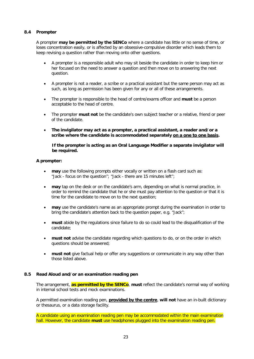# **8.4 Prompter**

A prompter **may be permitted by the SENCo** where a candidate has little or no sense of time, or loses concentration easily, or is affected by an obsessive-compulsive disorder which leads them to keep revising a question rather than moving onto other questions.

- A prompter is a responsible adult who may sit beside the candidate in order to keep him or her focused on the need to answer a question and then move on to answering the next question.
- A prompter is not a reader, a scribe or a practical assistant but the same person may act as such, as long as permission has been given for any or all of these arrangements.
- The prompter is responsible to the head of centre/exams officer and **must** be a person acceptable to the head of centre.
- The prompter **must not** be the candidate's own subject teacher or a relative, friend or peer of the candidate.
- **The invigilator may act as a prompter, a practical assistant, a reader and/or a scribe where the candidate is accommodated separately on a one to one basis.**

#### **If the prompter is acting as an Oral Language Modifier a separate invigilator will be required.**

# **A prompter:**

- **may** use the following prompts either vocally or written on a flash card such as: "Jack - focus on the question''; "Jack - there are 15 minutes left'';
- **may** tap on the desk or on the candidate's arm, depending on what is normal practice, in order to remind the candidate that he or she must pay attention to the question or that it is time for the candidate to move on to the next question;
- **may** use the candidate's name as an appropriate prompt during the examination in order to bring the candidate's attention back to the question paper, e.g. "Jack";
- **must** abide by the regulations since failure to do so could lead to the disqualification of the candidate;
- **must not** advise the candidate regarding which questions to do, or on the order in which questions should be answered;
- **must not** give factual help or offer any suggestions or communicate in any way other than those listed above.

# **8.5 Read Aloud and/or an examination reading pen**

The arrangement, **as permitted by the SENCo**, **must** reflect the candidate's normal way of working in internal school tests and mock examinations.

A permitted examination reading pen, **provided by the centre**, **will not** have an in-built dictionary or thesaurus, or a data storage facility.

A candidate using an examination reading pen may be accommodated within the main examination hall. However, the candidate **must** use headphones plugged into the examination reading pen.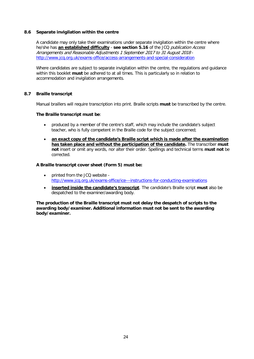# **8.6 Separate invigilation within the centre**

A candidate may only take their examinations under separate invigilation within the centre where he/she has **an established difficulty** - **see section 5.16** of the JCQ publication Access Arrangements and Reasonable Adjustments 1 September 2017 to 31 August 2018 <http://www.jcq.org.uk/exams-office/access-arrangements-and-special-consideration>

Where candidates are subject to separate invigilation within the centre, the regulations and guidance within this booklet **must** be adhered to at all times. This is particularly so in relation to accommodation and invigilation arrangements.

# **8.7 Braille transcript**

Manual braillers will require transcription into print. Braille scripts **must** be transcribed by the centre.

# **The Braille transcript must be**:

- produced by a member of the centre's staff, which may include the candidate's subject teacher, who is fully competent in the Braille code for the subject concerned;
- **an exact copy of the candidate's Braille script which is made after the examination has taken place and without the participation of the candidate.** The transcriber **must not** insert or omit any words, nor alter their order. Spellings and technical terms **must not** be corrected.

# **A Braille transcript cover sheet (Form 5) must be:**

- printed from the JCQ website <http://www.jcq.org.uk/exams-office/ice---instructions-for-conducting-examinations>
- **inserted inside the candidate's transcript**. The candidate's Braille script **must** also be despatched to the examiner/awarding body.

**The production of the Braille transcript must not delay the despatch of scripts to the awarding body/examiner. Additional information must not be sent to the awarding body/examiner.**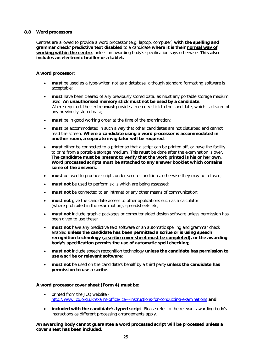### **8.8 Word processors**

Centres are allowed to provide a word processor (e.g. laptop, computer) **with the spelling and grammar check/predictive text disabled** to a candidate **where it is their normal way of working within the centre**, unless an awarding body's specification says otherwise. **This also includes an electronic brailler or a tablet.**

### **A word processor:**

- **must** be used as a type-writer, not as a database, although standard formatting software is acceptable;
- **must** have been cleared of any previously stored data, as must any portable storage medium used. **An unauthorised memory stick must not be used by a candidate**. Where required, the centre **must** provide a memory stick to the candidate, which is cleared of any previously stored data;
- **must** be in good working order at the time of the examination;
- **must** be accommodated in such a way that other candidates are not disturbed and cannot read the screen. **Where a candidate using a word processor is accommodated in another room, a separate invigilator will be required**;
- **must** either be connected to a printer so that a script can be printed off, or have the facility to print from a portable storage medium. This **must** be done after the examination is over. **The candidate must be present to verify that the work printed is his or her own**. **Word processed scripts must be attached to any answer booklet which contains some of the answers**;
- **must** be used to produce scripts under secure conditions, otherwise they may be refused;
- **must not** be used to perform skills which are being assessed;
- **must not** be connected to an intranet or any other means of communication;
- **must not** give the candidate access to other applications such as a calculator (where prohibited in the examination), spreadsheets etc;
- **must not** include graphic packages or computer aided design software unless permission has been given to use these;
- **must not** have any predictive text software or an automatic spelling and grammar check enabled **unless the candidate has been permitted a scribe or is using speech recognition technology (a scribe cover sheet must be completed), or the awarding body's specification permits the use of automatic spell checking**;
- **must not** include speech recognition technology **unless the candidate has permission to use a scribe or relevant software**;
- **must not** be used on the candidate's behalf by a third party **unless the candidate has permission to use a scribe**.

# **A word processor cover sheet (Form 4) must be:**

- printed from the JCQ website <http://www.jcq.org.uk/exams-office/ice---instructions-for-conducting-examinations> **and**
- **included with the candidate's typed script**. Please refer to the relevant awarding body's instructions as different processing arrangements apply.

**An awarding body cannot guarantee a word processed script will be processed unless a cover sheet has been included.**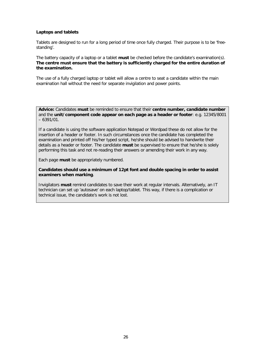### **Laptops and tablets**

Tablets are designed to run for a long period of time once fully charged. Their purpose is to be 'freestanding'.

The battery capacity of a laptop or a tablet **must** be checked before the candidate's examination(s). **The centre must ensure that the battery is sufficiently charged for the entire duration of the examination.**

The use of a fully charged laptop or tablet will allow a centre to seat a candidate within the main examination hall without the need for separate invigilation and power points.

**Advice:** Candidates **must** be reminded to ensure that their **centre number, candidate number** and the **unit/component code appear on each page as a header or footer**: e.g. 12345/8001  $-6391/01$ .

If a candidate is using the software application Notepad or Wordpad these do not allow for the insertion of a header or footer. In such circumstances once the candidate has completed the examination and printed off his/her typed script, he/she should be advised to handwrite their details as a header or footer. The candidate **must** be supervised to ensure that he/she is solely performing this task and not re-reading their answers or amending their work in any way.

Each page **must** be appropriately numbered.

**Candidates should use a minimum of 12pt font and double spacing in order to assist examiners when marking**.

Invigilators **must** remind candidates to save their work at regular intervals. Alternatively, an IT technician can set up 'autosave' on each laptop/tablet. This way, if there is a complication or technical issue, the candidate's work is not lost.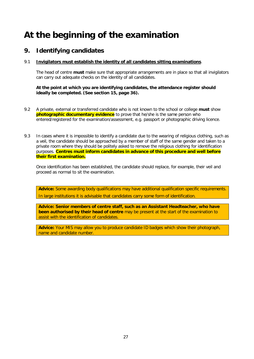# **At the beginning of the examination**

# **9. Identifying candidates**

# 9.1 **Invigilators must establish the identity of all candidates sitting examinations**.

The head of centre **must** make sure that appropriate arrangements are in place so that all invigilators can carry out adequate checks on the identity of all candidates.

# **At the point at which you are identifying candidates, the attendance register should ideally be completed. (See section 15, page 36).**

- 9.2 A private, external or transferred candidate who is not known to the school or college **must** show **photographic documentary evidence** to prove that he/she is the same person who entered/registered for the examination/assessment, e.g. passport or photographic driving licence.
- 9.3 In cases where it is impossible to identify a candidate due to the wearing of religious clothing, such as a veil, the candidate should be approached by a member of staff of the same gender and taken to a private room where they should be politely asked to remove the religious clothing for identification purposes. **Centres must inform candidates in advance of this procedure and well before their first examination.**

Once identification has been established, the candidate should replace, for example, their veil and proceed as normal to sit the examination.

**Advice:** Some awarding body qualifications may have additional qualification specific requirements. In large institutions it is advisable that candidates carry some form of identification.

**Advice: Senior members of centre staff, such as an Assistant Headteacher, who have been authorised by their head of centre** may be present at the start of the examination to assist with the identification of candidates.

**Advice:** Your MIS may allow you to produce candidate ID badges which show their photograph, name and candidate number.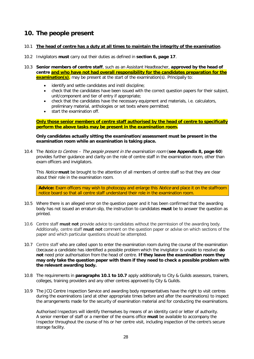# **10. The people present**

- 10.1 **The head of centre has a duty at all times to maintain the integrity of the examination**.
- 10.2 Invigilators **must** carry out their duties as defined in **section 6, page 17**.
- 10.3 **Senior members of centre staff**, such as an Assistant Headteacher, **approved by the head of centre and who have not had overall responsibility for the candidates preparation for the examination(s)**, may be present at the start of the examination(s). Principally to:
	- identify and settle candidates and instil discipline;
	- check that the candidates have been issued with the correct question papers for their subject, unit/component and tier of entry if appropriate;
	- check that the candidates have the necessary equipment and materials, i.e. calculators, preliminary material, anthologies or set texts where permitted;
	- start the examination off.

# **Only those senior members of centre staff authorised by the head of centre to specifically perform the above tasks may be present in the examination room.**

# **Only candidates actually sitting the examination/assessment must be present in the examination room while an examination is taking place.**

10.4 The Notice to Centres – The people present in the examination room (**see Appendix 8, page 60**) provides further guidance and clarity on the role of centre staff in the examination room, other than exam officers and invigilators.

This Notice **must** be brought to the attention of all members of centre staff so that they are clear about their role in the examination room.

**Advice:** Exam officers may wish to photocopy and enlarge this Notice and place it on the staffroom notice board so that all centre staff understand their role in the examination room.

- 10.5 Where there is an alleged error on the question paper and it has been confirmed that the awarding body has not issued an erratum slip, the instruction to candidates **must** be to answer the question as printed.
- 10.6 Centre staff **must not** provide advice to candidates without the permission of the awarding body. Additionally, centre staff **must not** comment on the question paper or advise on which sections of the paper and which particular questions should be attempted.
- 10.7 Centre staff who are called upon to enter the examination room during the course of the examination (because a candidate has identified a possible problem which the invigilator is unable to resolve) **do not** need prior authorisation from the head of centre. **If they leave the examination room they may only take the question paper with them if they need to check a possible problem with the relevant awarding body.**
- 10.8 The requirements in **paragraphs 10.1 to 10.7** apply additionally to City & Guilds assessors, trainers, colleges, training providers and any other centres approved by City & Guilds.
- 10.9 The JCQ Centre Inspection Service and awarding body representatives have the right to visit centres during the examinations (and at other appropriate times before and after the examinations) to inspect the arrangements made for the security of examination material and for conducting the examinations.

Authorised Inspectors will identify themselves by means of an identity card or letter of authority. A senior member of staff or a member of the exams office **must** be available to accompany the Inspector throughout the course of his or her centre visit, including inspection of the centre's secure storage facility.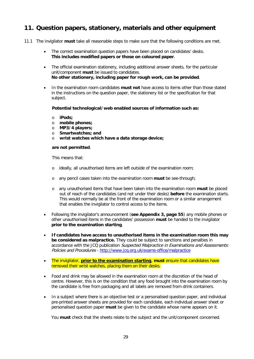## **11. Question papers, stationery, materials and other equipment**

- 11.1 The invigilator **must** take all reasonable steps to make sure that the following conditions are met.
	- The correct examination question papers have been placed on candidates' desks. **This includes modified papers or those on coloured paper**.
	- The official examination stationery, including additional answer sheets, for the particular unit/component **must** be issued to candidates. **No other stationery, including paper for rough work, can be provided**.
	- In the examination room candidates **must not** have access to items other than those stated in the instructions on the question paper, the stationery list or the specification for that subject.

**Potential technological/web enabled sources of information such as:**

- o **iPods;**
- o **mobile phones;**
- o **MP3/4 players;**
- o **Smartwatches; and**
- o **wrist watches which have a data storage device;**

### **are not permitted**.

This means that:

- o ideally, all unauthorised items are left outside of the examination room;
- o any pencil cases taken into the examination room **must** be see-through;
- o any unauthorised items that have been taken into the examination room **must** be placed out of reach of the candidates (and not under their desks) **before** the examination starts. This would normally be at the front of the examination room or a similar arrangement that enables the invigilator to control access to the items.
- Following the invigilator's announcement (**see Appendix 3, page 55**) any mobile phones or other unauthorised items in the candidates' possession **must** be handed to the invigilator **prior to the examination starting**.
- **If candidates have access to unauthorised items in the examination room this may be considered as malpractice.** They could be subject to sanctions and penalties in accordance with the JCQ publication *Suspected Malpractice in Examinations and Assessments:* Policies and Procedures - <http://www.jcq.org.uk/exams-office/malpractice>
- The invigilator, **prior to the examination starting**, **must** ensure that candidates have removed their wrist watches, placing them on their desks.
- Food and drink may be allowed in the examination room at the discretion of the head of centre. However, this is on the condition that any food brought into the examination room by the candidate is free from packaging and all labels are removed from drink containers.
- In a subject where there is an objective test or a personalised question paper, and individual pre-printed answer sheets are provided for each candidate, each individual answer sheet or personalised question paper **must** be given to the candidate whose name appears on it.

You **must** check that the sheets relate to the subject and the unit/component concerned.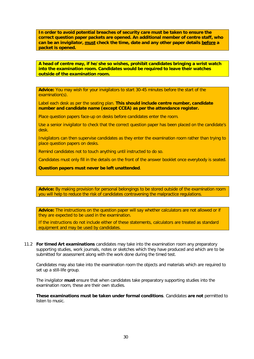**In order to avoid potential breaches of security care must be taken to ensure the correct question paper packets are opened. An additional member of centre staff, who can be an invigilator, must check the time, date and any other paper details before a packet is opened.**

**A head of centre may, if he/she so wishes, prohibit candidates bringing a wrist watch into the examination room. Candidates would be required to leave their watches outside of the examination room.**

**Advice:** You may wish for your invigilators to start 30-45 minutes before the start of the examination(s).

Label each desk as per the seating plan. **This should include centre number, candidate number and candidate name (except CCEA) as per the attendance register.**

Place question papers face-up on desks before candidates enter the room.

Use a senior invigilator to check that the correct question paper has been placed on the candidate's desk.

Invigilators can then supervise candidates as they enter the examination room rather than trying to place question papers on desks.

Remind candidates not to touch anything until instructed to do so.

Candidates must only fill in the details on the front of the answer booklet once everybody is seated.

**Question papers must never be left unattended**.

**Advice:** By making provision for personal belongings to be stored outside of the examination room you will help to reduce the risk of candidates contravening the malpractice regulations.

**Advice:** The instructions on the question paper will say whether calculators are not allowed or if they are expected to be used in the examination.

If the instructions do not include either of these statements, calculators are treated as standard equipment and may be used by candidates.

11.2 **For timed Art examinations** candidates may take into the examination room any preparatory supporting studies, work journals, notes or sketches which they have produced and which are to be submitted for assessment along with the work done during the timed test.

Candidates may also take into the examination room the objects and materials which are required to set up a still-life group.

The invigilator **must** ensure that when candidates take preparatory supporting studies into the examination room, these are their own studies.

**These examinations must be taken under formal conditions**. Candidates **are not** permitted to listen to music.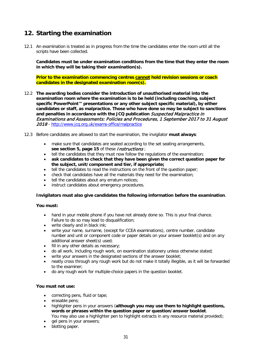## **12. Starting the examination**

12.1 An examination is treated as in progress from the time the candidates enter the room until all the scripts have been collected.

**Candidates must be under examination conditions from the time that they enter the room in which they will be taking their examination(s).**

**Prior to the examination commencing centres cannot hold revision sessions or coach candidates in the designated examination room(s).**

- 12.2 **The awarding bodies consider the introduction of unauthorised material into the examination room where the examination is to be held (including coaching, subject specific PowerPoint™ presentations or any other subject specific material), by either candidates or staff, as malpractice. Those who have done so may be subject to sanctions and penalties in accordance with the JCQ publication** Suspected Malpractice in Examinations and Assessments: Policies and Procedures, 1 September 2017 to 31 August 2018 - <http://www.jcq.org.uk/exams-office/malpractice>
- 12.3 Before candidates are allowed to start the examination, the invigilator **must always**:
	- make sure that candidates are seated according to the set seating arrangements, see section 5, page 15 of these *Instructions*;
	- tell the candidates that they must now follow the regulations of the examination;
	- **ask candidates to check that they have been given the correct question paper for the subject, unit/component and tier, if appropriate;**
	- tell the candidates to read the instructions on the front of the question paper;
	- check that candidates have all the materials they need for the examination;
	- tell the candidates about any erratum notices;
	- instruct candidates about emergency procedures.

### **Invigilators must also give candidates the following information before the examination**.

### **You must:**

- hand in your mobile phone if you have not already done so. This is your final chance. Failure to do so may lead to disqualification;
- write clearly and in black ink;
- write your name, surname, (except for CCEA examinations), centre number, candidate number and unit or component code or paper details on your answer booklet(s) and on any additional answer sheet(s) used;
- fill in any other details as necessary;
- do all work, including rough work, on examination stationery unless otherwise stated;
- write your answers in the designated sections of the answer booklet:
- neatly cross through any rough work but do not make it totally illegible, as it will be forwarded to the examiner;
- do any rough work for multiple-choice papers in the question booklet.

### **You must not use:**

- correcting pens, fluid or tape;
- erasable pens;
- highlighter pens in your answers (**although you may use them to highlight questions, words or phrases within the question paper or question/answer booklet**. You may also use a highlighter pen to highlight extracts in any resource material provided);
- gel pens in your answers;
- blotting paper.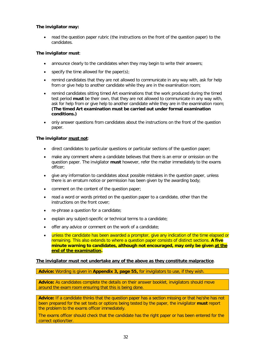### **The invigilator may:**

• read the question paper rubric (the instructions on the front of the question paper) to the candidates.

### **The invigilator must**:

- announce clearly to the candidates when they may begin to write their answers;
- specify the time allowed for the paper(s);
- remind candidates that they are not allowed to communicate in any way with, ask for help from or give help to another candidate while they are in the examination room;
- remind candidates sitting timed Art examinations that the work produced during the timed test period **must** be their own, that they are not allowed to communicate in any way with, ask for help from or give help to another candidate while they are in the examination room; **(The timed Art examination must be carried out under formal examination conditions.)**
- only answer questions from candidates about the instructions on the front of the question paper.

### **The invigilator must not**:

- direct candidates to particular questions or particular sections of the question paper;
- make any comment where a candidate believes that there is an error or omission on the question paper. The invigilator **must** however, refer the matter immediately to the exams officer;
- give any information to candidates about possible mistakes in the question paper, unless there is an erratum notice or permission has been given by the awarding body;
- comment on the content of the question paper;
- read a word or words printed on the question paper to a candidate, other than the instructions on the front cover;
- re-phrase a question for a candidate;
- explain any subject-specific or technical terms to a candidate;
- offer any advice or comment on the work of a candidate;
- unless the candidate has been awarded a prompter, give any indication of the time elapsed or remaining. This also extends to where a question paper consists of distinct sections. **A five minute warning to candidates, although not encouraged, may only be given at the end of the examination.**

### **The invigilator must not undertake any of the above as they constitute malpractice**.

**Advice:** Wording is given in **Appendix 3, page 55,** for invigilators to use, if they wish.

Advice: As candidates complete the details on their answer booklet, invigilators should move around the exam room ensuring that this is being done.

**Advice:** If a candidate thinks that the question paper has a section missing or that he/she has not been prepared for the set texts or options being tested by the paper, the invigilator **must** report the problem to the exams officer immediately.

The exams officer should check that the candidate has the right paper or has been entered for the correct option/tier.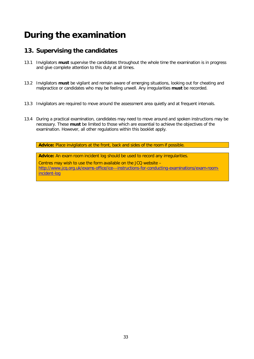# **During the examination**

## **13. Supervising the candidates**

- 13.1 Invigilators **must** supervise the candidates throughout the whole time the examination is in progress and give complete attention to this duty at all times.
- 13.2 Invigilators **must** be vigilant and remain aware of emerging situations, looking out for cheating and malpractice or candidates who may be feeling unwell. Any irregularities **must** be recorded.
- 13.3 Invigilators are required to move around the assessment area quietly and at frequent intervals.
- 13.4 During a practical examination, candidates may need to move around and spoken instructions may be necessary. These **must** be limited to those which are essential to achieve the objectives of the examination. However, all other regulations within this booklet apply.

**Advice:** Place invigilators at the front, back and sides of the room if possible.

**Advice:** An exam room incident log should be used to record any irregularities. Centres may wish to use the form available on the JCQ website – [http://www.jcq.org.uk/exams-office/ice---instructions-for-conducting-examinations/exam-room](http://www.jcq.org.uk/exams-office/ice---instructions-for-conducting-examinations/exam-room-incident-log)[incident-log](http://www.jcq.org.uk/exams-office/ice---instructions-for-conducting-examinations/exam-room-incident-log)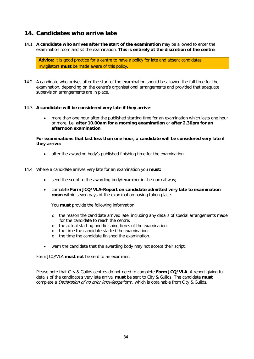## **14. Candidates who arrive late**

14.1 **A candidate who arrives after the start of the examination** may be allowed to enter the examination room and sit the examination. **This is entirely at the discretion of the centre**.

Advice: it is good practice for a centre to have a policy for late and absent candidates. Invigilators **must** be made aware of this policy.

14.2 A candidate who arrives after the start of the examination should be allowed the full time for the examination, depending on the centre's organisational arrangements and provided that adequate supervision arrangements are in place.

### 14.3 **A candidate will be considered very late if they arrive**:

• more than one hour after the published starting time for an examination which lasts one hour or more, i.e. **after 10.00am for a morning examination** or **after 2.30pm for an afternoon examination**.

### **For examinations that last less than one hour, a candidate will be considered very late if they arrive:**

after the awarding body's published finishing time for the examination.

### 14.4 Where a candidate arrives very late for an examination you **must:**

- send the script to the awarding body/examiner in the normal way;
- complete **Form JCQ/VLA-Report on candidate admitted very late to examination room** within seven days of the examination having taken place.

You **must** provide the following information:

- o the reason the candidate arrived late, including any details of special arrangements made for the candidate to reach the centre;
- o the actual starting and finishing times of the examination;
- o the time the candidate started the examination;
- o the time the candidate finished the examination.
- warn the candidate that the awarding body may not accept their script.

Form JCQ/VLA **must not** be sent to an examiner.

Please note that City & Guilds centres do not need to complete **Form JCQ/VLA**. A report giving full details of the candidate's very late arrival **must** be sent to City & Guilds. The candidate **must**  complete a *Declaration of no prior knowledge* form, which is obtainable from City & Guilds.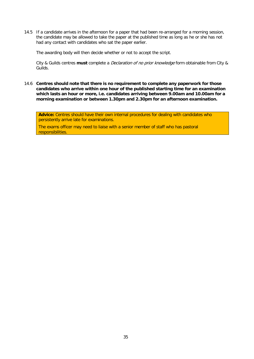14.5 If a candidate arrives in the afternoon for a paper that had been re-arranged for a morning session, the candidate may be allowed to take the paper at the published time as long as he or she has not had any contact with candidates who sat the paper earlier.

The awarding body will then decide whether or not to accept the script.

City & Guilds centres **must** complete a Declaration of no prior knowledge form obtainable from City & Guilds.

14.6 **Centres should note that there is no requirement to complete any paperwork for those candidates who arrive within one hour of the published starting time for an examination which lasts an hour or more, i.e. candidates arriving between 9.00am and 10.00am for a morning examination or between 1.30pm and 2.30pm for an afternoon examination.**

**Advice:** Centres should have their own internal procedures for dealing with candidates who persistently arrive late for examinations.

The exams officer may need to liaise with a senior member of staff who has pastoral responsibilities.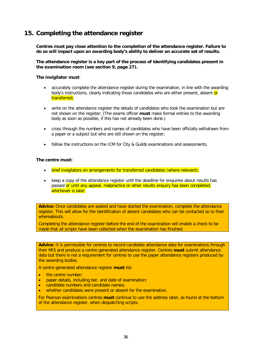## **15. Completing the attendance register**

**Centres must pay close attention to the completion of the attendance register. Failure to do so will impact upon an awarding body's ability to deliver an accurate set of results.**

**The attendance register is a key part of the process of identifying candidates present in the examination room (see section 9, page 27).**

**The invigilator must**:

- accurately complete the attendance register during the examination, in line with the awarding body's instructions, clearly indicating those candidates who are either present, absent or transferred;
- write on the attendance register the details of candidates who took the examination but are not shown on the register; (The exams officer **must** make formal entries to the awarding body as soon as possible, if this has not already been done.)
- cross through the numbers and names of candidates who have been officially withdrawn from a paper or a subject but who are still shown on the register;
- follow the instructions on the ICM for City & Guilds examinations and assessments.

### **The centre must:**

- brief invigilators on arrangements for transferred candidates (where relevant);
- keep a copy of the attendance register until the deadline for enquiries about results has passed or until any appeal, malpractice or other results enquiry has been completed, whichever is later.

**Advice:** Once candidates are seated and have started the examination, complete the attendance register. This will allow for the identification of absent candidates who can be contacted as to their whereabouts.

Completing the attendance register before the end of the examination will enable a check to be made that all scripts have been collected when the examination has finished.

**Advice:** It is permissible for centres to record candidate attendance data for examinations through their MIS and produce a centre generated attendance register. Centres **must** submit attendance data but there is not a requirement for centres to use the paper attendance registers produced by the awarding bodies.

A centre generated attendance register **must** list:

- the centre number;
- paper details, including tier, and date of examination;
- candidate numbers and candidate names;
- whether candidates were present or absent for the examination.

For Pearson examinations centres **must** continue to use the address label, as found at the bottom of the attendance register, when despatching scripts.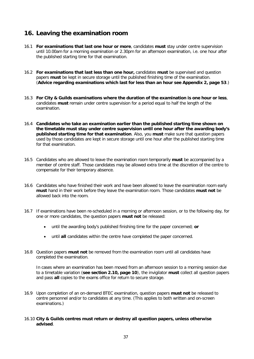## **16. Leaving the examination room**

- 16.1 **For examinations that last one hour or more**, candidates **must** stay under centre supervision until 10.00am for a morning examination or 2.30pm for an afternoon examination, i.e. one hour after the published starting time for that examination.
- 16.2 **For examinations that last less than one hour,** candidates **must** be supervised and question papers **must** be kept in secure storage until the published finishing time of the examination. (**Advice regarding examinations which last for less than an hour see Appendix 2, page 53**.)
- 16.3 **For City & Guilds examinations where the duration of the examination is one hour or less**, candidates **must** remain under centre supervision for a period equal to half the length of the examination.
- 16.4 **Candidates who take an examination earlier than the published starting time shown on the timetable must stay under centre supervision until one hour after the awarding body's published starting time for that examination**. Also, you **must** make sure that question papers used by those candidates are kept in secure storage until one hour after the published starting time for that examination.
- 16.5 Candidates who are allowed to leave the examination room temporarily **must** be accompanied by a member of centre staff. Those candidates may be allowed extra time at the discretion of the centre to compensate for their temporary absence.
- 16.6 Candidates who have finished their work and have been allowed to leave the examination room early **must** hand in their work before they leave the examination room. Those candidates **must not** be allowed back into the room.
- 16.7 If examinations have been re-scheduled in a morning or afternoon session, or to the following day, for one or more candidates, the question papers **must not** be released:
	- until the awarding body's published finishing time for the paper concerned; **or**
	- until **all** candidates within the centre have completed the paper concerned.
- 16.8 Question papers **must not** be removed from the examination room until all candidates have completed the examination.

In cases where an examination has been moved from an afternoon session to a morning session due to a timetable variation (**see section 2.10, page 10**), the invigilator **must** collect all question papers and pass **all** copies to the exams office for return to secure storage.

16.9 Upon completion of an on-demand BTEC examination, question papers **must not** be released to centre personnel and/or to candidates at any time. (This applies to both written and on-screen examinations.)

### 16.10 **City & Guilds centres must return or destroy all question papers, unless otherwise advised**.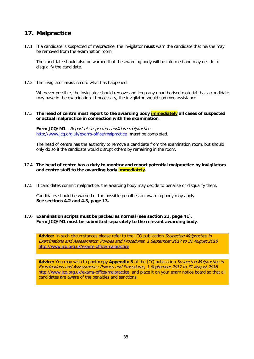## **17. Malpractice**

17.1 If a candidate is suspected of malpractice, the invigilator **must** warn the candidate that he/she may be removed from the examination room.

The candidate should also be warned that the awarding body will be informed and may decide to disqualify the candidate.

17.2 The invigilator **must** record what has happened.

Wherever possible, the invigilator should remove and keep any unauthorised material that a candidate may have in the examination. If necessary, the invigilator should summon assistance.

### 17.3 **The head of centre must report to the awarding body immediately all cases of suspected or actual malpractice in connection with the examination**.

**Form JCQ/M1** - Report of suspected candidate malpractice <http://www.jcq.org.uk/exams-office/malpractice> **must** be completed.

The head of centre has the authority to remove a candidate from the examination room, but should only do so if the candidate would disrupt others by remaining in the room.

### 17.4 **The head of centre has a duty to monitor and report potential malpractice by invigilators and centre staff to the awarding body immediately.**

17.5 If candidates commit malpractice, the awarding body may decide to penalise or disqualify them.

Candidates should be warned of the possible penalties an awarding body may apply. **See sections 4.2 and 4.3, page 13.**

### 17.6 **Examination scripts must be packed as normal** (**see section 21, page 41**). **Form JCQ/M1 must be submitted separately to the relevant awarding body**.

**Advice:** In such circumstances please refer to the JCQ publication Suspected Malpractice in Examinations and Assessments: Policies and Procedures, 1 September 2017 to 31 August 2018 <http://www.jcq.org.uk/exams-office/malpractice>

**Advice:** You may wish to photocopy **Appendix 5** of the JCQ publication Suspected Malpractice in Examinations and Assessments: Policies and Procedures, 1 September 2017 to 31 August 2018 <http://www.jcq.org.uk/exams-office/malpractice>and place it on your exam notice board so that all candidates are aware of the penalties and sanctions.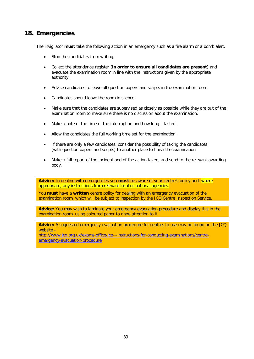## **18. Emergencies**

The invigilator **must** take the following action in an emergency such as a fire alarm or a bomb alert.

- Stop the candidates from writing.
- Collect the attendance register (**in order to ensure all candidates are present**) and evacuate the examination room in line with the instructions given by the appropriate authority.
- Advise candidates to leave all question papers and scripts in the examination room.
- Candidates should leave the room in silence.
- Make sure that the candidates are supervised as closely as possible while they are out of the examination room to make sure there is no discussion about the examination.
- Make a note of the time of the interruption and how long it lasted.
- Allow the candidates the full working time set for the examination.
- If there are only a few candidates, consider the possibility of taking the candidates (with question papers and scripts) to another place to finish the examination.
- Make a full report of the incident and of the action taken, and send to the relevant awarding body.

**Advice:** In dealing with emergencies you **must** be aware of your centre's policy and, where appropriate, any instructions from relevant local or national agencies.

You **must** have a **written** centre policy for dealing with an emergency evacuation of the examination room, which will be subject to inspection by the JCQ Centre Inspection Service.

**Advice:** You may wish to laminate your emergency evacuation procedure and display this in the examination room, using coloured paper to draw attention to it.

**Advice:** A suggested emergency evacuation procedure for centres to use may be found on the JCQ website -

[http://www.jcq.org.uk/exams-office/ice---instructions-for-conducting-examinations/centre](http://www.jcq.org.uk/exams-office/ice---instructions-for-conducting-examinations/centre-emergency-evacuation-procedure)[emergency-evacuation-procedure](http://www.jcq.org.uk/exams-office/ice---instructions-for-conducting-examinations/centre-emergency-evacuation-procedure)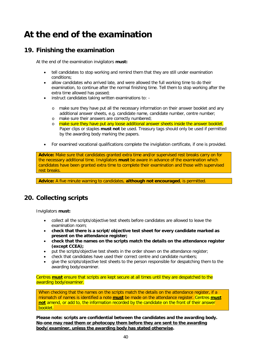# **At the end of the examination**

## **19. Finishing the examination**

At the end of the examination invigilators **must:**

- tell candidates to stop working and remind them that they are still under examination conditions;
- allow candidates who arrived late, and were allowed the full working time to do their examination, to continue after the normal finishing time. Tell them to stop working after the extra time allowed has passed;
- instruct candidates taking written examinations to:
	- o make sure they have put all the necessary information on their answer booklet and any additional answer sheets, e.g. candidate name, candidate number, centre number;
	- o make sure their answers are correctly numbered;
	- o make sure they have put any loose additional answer sheets inside the answer booklet. Paper clips or staples **must not** be used. Treasury tags should only be used if permitted by the awarding body marking the papers.
- For examined vocational qualifications complete the invigilation certificate, if one is provided.

**Advice:** Make sure that candidates granted extra time and/or supervised rest breaks carry on for the necessary additional time. Invigilators **must** be aware in advance of the examination which candidates have been granted extra time to complete their examination and those with supervised rest breaks.

**Advice:** A five minute warning to candidates, **although not encouraged**, is permitted.

## **20. Collecting scripts**

Invigilators **must:**

- collect all the scripts/objective test sheets before candidates are allowed to leave the examination room;
- **check that there is a script/objective test sheet for every candidate marked as present on the attendance register;**
- **check that the names on the scripts match the details on the attendance register (except CCEA);**
- put the scripts/objective test sheets in the order shown on the attendance register;
- check that candidates have used their correct centre and candidate numbers;
- give the scripts/objective test sheets to the person responsible for despatching them to the awarding body/examiner.

Centres **must** ensure that scripts are kept secure at all times until they are despatched to the awarding body/examiner.

When checking that the names on the scripts match the details on the attendance register, if a mismatch of names is identified a note **must** be made on the attendance register. Centres **must not** amend, or add to, the information recorded by the candidate on the front of their answer booklet.

**Please note: scripts are confidential between the candidates and the awarding body. No-one may read them or photocopy them before they are sent to the awarding body/examiner, unless the awarding body has stated otherwise.**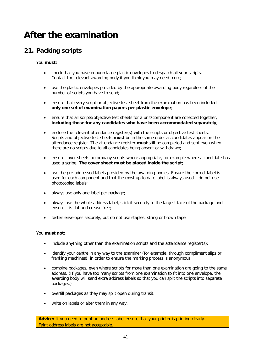# **After the examination**

## **21. Packing scripts**

You **must:**

- check that you have enough large plastic envelopes to despatch all your scripts. Contact the relevant awarding body if you think you may need more;
- use the plastic envelopes provided by the appropriate awarding body regardless of the number of scripts you have to send;
- ensure that every script or objective test sheet from the examination has been included **only one set of examination papers per plastic envelope**;
- ensure that all scripts/objective test sheets for a unit/component are collected together, **including those for any candidates who have been accommodated separately**;
- enclose the relevant attendance register(s) with the scripts or objective test sheets. Scripts and objective test sheets **must** be in the same order as candidates appear on the attendance register. The attendance register **must** still be completed and sent even when there are no scripts due to all candidates being absent or withdrawn;
- ensure cover sheets accompany scripts where appropriate, for example where a candidate has used a scribe. **The cover sheet must be placed inside the script**;
- use the pre-addressed labels provided by the awarding bodies. Ensure the correct label is used for each component and that the most up to date label is always used – do not use photocopied labels;
- always use only one label per package;
- always use the whole address label, stick it securely to the largest face of the package and ensure it is flat and crease free;
- fasten envelopes securely, but do not use staples, string or brown tape.

### You **must not:**

- include anything other than the examination scripts and the attendance register(s);
- identify your centre in any way to the examiner (for example, through compliment slips or franking machines), in order to ensure the marking process is anonymous;
- combine packages, even where scripts for more than one examination are going to the same address. (If you have too many scripts from one examination to fit into one envelope, the awarding body will send extra address labels so that you can split the scripts into separate packages.)
- overfill packages as they may split open during transit;
- write on labels or alter them in any way.

Advice: If you need to print an address label ensure that your printer is printing clearly. Faint address labels are not acceptable.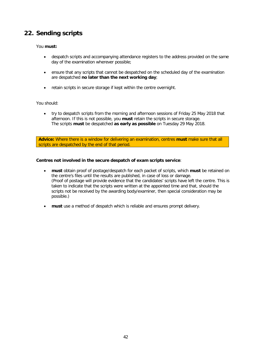## **22. Sending scripts**

### You **must:**

- despatch scripts and accompanying attendance registers to the address provided on the same day of the examination wherever possible;
- ensure that any scripts that cannot be despatched on the scheduled day of the examination are despatched **no later than the next working day**;
- retain scripts in secure storage if kept within the centre overnight.

### You should:

• try to despatch scripts from the morning and afternoon sessions of Friday 25 May 2018 that afternoon. If this is not possible, you **must** retain the scripts in secure storage. The scripts **must** be despatched **as early as possible** on Tuesday 29 May 2018.

**Advice:** Where there is a window for delivering an examination, centres **must** make sure that all scripts are despatched by the end of that period.

### **Centres not involved in the secure despatch of exam scripts service**:

- **must** obtain proof of postage/despatch for each packet of scripts, which **must** be retained on the centre's files until the results are published, in case of loss or damage. (Proof of postage will provide evidence that the candidates' scripts have left the centre. This is taken to indicate that the scripts were written at the appointed time and that, should the scripts not be received by the awarding body/examiner, then special consideration may be possible.)
- **must** use a method of despatch which is reliable and ensures prompt delivery.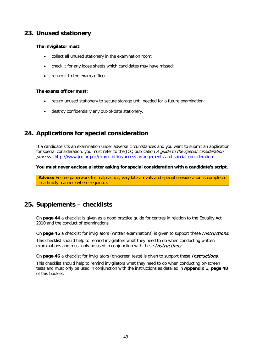## **23. Unused stationery**

### **The invigilator must:**

- collect all unused stationery in the examination room;
- check it for any loose sheets which candidates may have missed;
- return it to the exams officer.

### **The exams officer must:**

- return unused stationery to secure storage until needed for a future examination;
- destroy confidentially any out-of-date stationery.

## **24. Applications for special consideration**

If a candidate sits an examination under adverse circumstances and you want to submit an application for special consideration, you must refer to the JCQ publication A guide to the special consideration process - <http://www.jcq.org.uk/exams-office/access-arrangements-and-special-consideration>

**You must never enclose a letter asking for special consideration with a candidate's script.**

**Advice:** Ensure paperwork for malpractice, very late arrivals and special consideration is completed in a timely manner (where required).

## **25. Supplements – checklists**

On **page 44** a checklist is given as a good practice guide for centres in relation to the Equality Act 2010 and the conduct of examinations.

On **page 45** a checklist for invigilators (written examinations) is given to support these *Instructions*.

This checklist should help to remind invigilators what they need to do when conducting written examinations and must only be used in conjunction with these *Instructions*.

On **page 46** a checklist for invigilators (on-screen tests) is given to support these *Instructions*.

This checklist should help to remind invigilators what they need to do when conducting on-screen tests and must only be used in conjunction with the instructions as detailed in **Appendix 1, page 48** of this booklet.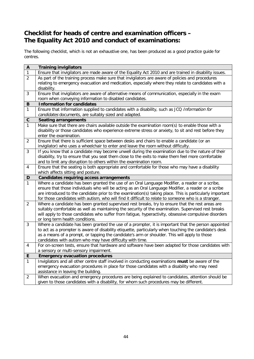## **Checklist for heads of centre and examination officers – The Equality Act 2010 and conduct of examinations:**

The following checklist, which is not an exhaustive one, has been produced as a good practice guide for centres.

| $\pmb{\mathsf{A}}$ | <b>Training invigilators</b>                                                                                                                                                                                  |
|--------------------|---------------------------------------------------------------------------------------------------------------------------------------------------------------------------------------------------------------|
| $\mathbf{1}$       | Ensure that invigilators are made aware of the Equality Act 2010 and are trained in disability issues.                                                                                                        |
| $\overline{2}$     | As part of the training process make sure that invigilators are aware of policies and procedures                                                                                                              |
|                    | relating to emergency evacuation and medication, especially where they relate to candidates with a                                                                                                            |
|                    | disability.                                                                                                                                                                                                   |
| $\mathfrak{Z}$     | Ensure that invigilators are aware of alternative means of communication, especially in the exam                                                                                                              |
|                    | room when conveying information to disabled candidates.                                                                                                                                                       |
| B                  | <b>Information for candidates</b>                                                                                                                                                                             |
| $\mathbf{1}$       | Ensure that information supplied to candidates with a disability, such as JCQ Information for                                                                                                                 |
|                    | candidates documents, are suitably sized and adapted.                                                                                                                                                         |
| $\mathbf C$        | <b>Seating arrangements</b>                                                                                                                                                                                   |
| $\mathbf{1}$       | Make sure that there are chairs available outside the examination room(s) to enable those with a                                                                                                              |
|                    | disability or those candidates who experience extreme stress or anxiety, to sit and rest before they                                                                                                          |
|                    | enter the examination.                                                                                                                                                                                        |
| $\overline{c}$     | Ensure that there is sufficient space between desks and chairs to enable a candidate (or an                                                                                                                   |
|                    | invigilator) who uses a wheelchair to enter and leave the room without difficulty.                                                                                                                            |
| 3                  | If you know that a candidate may become unwell during the examination due to the nature of their                                                                                                              |
|                    | disability, try to ensure that you seat them close to the exits to make them feel more comfortable                                                                                                            |
|                    | and to limit any disruption to others within the examination room.                                                                                                                                            |
| 4                  | Ensure that the seating is both appropriate and comfortable for those who may have a disability                                                                                                               |
|                    | which affects sitting and posture.                                                                                                                                                                            |
| D                  | <b>Candidates requiring access arrangements</b>                                                                                                                                                               |
| $\mathbf{1}$       | Where a candidate has been granted the use of an Oral Language Modifier, a reader or a scribe,                                                                                                                |
|                    | ensure that those individuals who will be acting as an Oral Language Modifier, a reader or a scribe                                                                                                           |
|                    | are introduced to the candidate prior to the examination(s) taking place. This is particularly important                                                                                                      |
|                    | for those candidates with autism, who will find it difficult to relate to someone who is a stranger.                                                                                                          |
| $\overline{2}$     | Where a candidate has been granted supervised rest breaks, try to ensure that the rest areas are                                                                                                              |
|                    | suitably comfortable as well as maintaining the security of the examination. Supervised rest breaks                                                                                                           |
|                    | will apply to those candidates who suffer from fatigue, hyperactivity, obsessive compulsive disorders                                                                                                         |
| 3                  | or long term health conditions.                                                                                                                                                                               |
|                    | Where a candidate has been granted the use of a prompter, it is important that the person appointed<br>to act as a prompter is aware of disability etiquette, particularly when touching the candidate's desk |
|                    | as a means of a prompt, or tapping the candidate's arm or shoulder. This will apply to those                                                                                                                  |
|                    | candidates with autism who may have difficulty with time.                                                                                                                                                     |
| $\overline{4}$     | For on-screen tests, ensure that hardware and software have been adapted for those candidates with                                                                                                            |
|                    | a sensory or multi-sensory impairment.                                                                                                                                                                        |
| E                  | <b>Emergency evacuation procedures</b>                                                                                                                                                                        |
| 1                  | Invigilators and all other centre staff involved in conducting examinations must be aware of the                                                                                                              |
|                    | emergency evacuation procedures in place for those candidates with a disability who may need                                                                                                                  |
|                    | assistance in leaving the building.                                                                                                                                                                           |
| $\sqrt{2}$         | When evacuation and emergency procedures are being explained to candidates, attention should be                                                                                                               |
|                    | given to those candidates with a disability, for whom such procedures may be different.                                                                                                                       |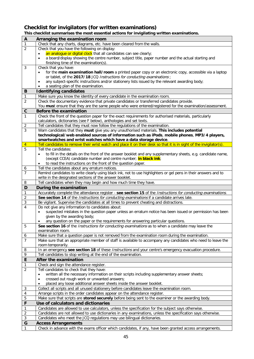## **Checklist for invigilators (for written examinations)**

| A                       | Arranging the examination room                                                                                                         |
|-------------------------|----------------------------------------------------------------------------------------------------------------------------------------|
| $\mathbf{1}$            | Check that any charts, diagrams, etc. have been cleared from the walls.                                                                |
| $\overline{2}$          | Check that you have the following on display:                                                                                          |
|                         | an analogue or digital clock that all candidates can see clearly;<br>$\bullet$                                                         |
|                         | a board/display showing the centre number, subject title, paper number and the actual starting and<br>$\bullet$                        |
|                         | finishing time of the examination(s).                                                                                                  |
| 3                       | Check that you have:                                                                                                                   |
|                         | for the main examination hall/room a printed paper copy or an electronic copy, accessible via a laptop                                 |
|                         | or tablet, of the 2017/18 JCQ Instructions for conducting examinations;                                                                |
|                         | any subject-specific instructions and/or stationery lists issued by the relevant awarding body;<br>$\bullet$                           |
|                         | a seating plan of the examination.                                                                                                     |
| B                       | <b>Identifying candidates</b>                                                                                                          |
| $\mathbf{1}$            | Make sure you know the identity of every candidate in the examination room.                                                            |
| $\overline{2}$          | Check the documentary evidence that private candidates or transferred candidates provide.                                              |
|                         | You must ensure that they are the same people who were entered/registered for the examination/assessment.                              |
| $\mathbf C$             | Before the examination                                                                                                                 |
| $\mathbf{1}$            | Check the front of the question paper for the exact requirements for authorised materials, particularly                                |
|                         | calculators, dictionaries (see F below), anthologies and set texts.                                                                    |
| $\overline{c}$          | Tell candidates that they must now follow the regulations of the examination.                                                          |
| $\overline{3}$          | Warn candidates that they must give you any unauthorised materials. This includes potential                                            |
|                         | technological/web enabled sources of information such as iPods, mobile phones, MP3/4 players,                                          |
|                         | smartwatches and wrist watches which have a data storage device.                                                                       |
| $\overline{4}$          | Tell candidates to remove their wrist watch and place it on their desk so that it is in sight of the invigilator(s).                   |
| $\overline{5}$          | Tell the candidates:                                                                                                                   |
|                         | to fill in the details on the front of the answer booklet and any supplementary sheets, e.g. candidate name,<br>$\bullet$              |
|                         | (except CCEA) candidate number and centre number; in black ink;                                                                        |
|                         | to read the instructions on the front of the question paper.<br>$\bullet$                                                              |
| 6                       | Tell the candidates about any erratum notices.                                                                                         |
| $\overline{7}$          | Remind candidates to write clearly using black ink, not to use highlighters or gel pens in their answers and to                        |
|                         | write in the designated sections of the answer booklet.                                                                                |
| 8                       | Tell candidates when they may begin and how much time they have.                                                                       |
|                         |                                                                                                                                        |
| D                       | During the examination                                                                                                                 |
| 1                       | Accurately complete the attendance register - see section 15 of the Instructions for conducting examinations.                          |
| $\overline{2}$          | See section 14 of the Instructions for conducting examinations if a candidate arrives late.                                            |
| 3                       | Be vigilant. Supervise the candidates at all times to prevent cheating and distractions.                                               |
| 4                       | Do not give any information to candidates about:                                                                                       |
|                         | suspected mistakes in the question paper unless an erratum notice has been issued or permission has been<br>$\bullet$                  |
|                         | given by the awarding body;                                                                                                            |
|                         | any question on the paper or the requirements for answering particular questions.                                                      |
| 5                       | See section 16 of the <i>Instructions for conducting examinations</i> as to when a candidate may leave the                             |
|                         | examination room.                                                                                                                      |
| 6                       | Make sure that a question paper is not removed from the examination room during the examination.                                       |
| $\overline{7}$          | Make sure that an appropriate member of staff is available to accompany any candidates who need to leave the                           |
|                         | room temporarily.                                                                                                                      |
| 8                       | In an emergency see section 18 of these Instructions and your centre's emergency evacuation procedure.                                 |
| 9                       | Tell candidates to stop writing at the end of the examination.                                                                         |
| E                       | After the examination                                                                                                                  |
| 1                       | Check and sign the attendance register.                                                                                                |
| $\overline{2}$          | Tell candidates to check that they have:                                                                                               |
|                         | written all the necessary information on their scripts including supplementary answer sheets;<br>$\bullet$                             |
|                         | crossed out rough work or unwanted answers;<br>$\bullet$                                                                               |
|                         | placed any loose additional answer sheets inside the answer booklet.<br>$\bullet$                                                      |
| 3                       | Collect all scripts and all unused stationery before candidates leave the examination room.                                            |
| $\overline{\mathbf{r}}$ | Arrange scripts in the order candidates appear on the attendance register.                                                             |
| $\mathbf 5$             | Make sure that scripts are stored securely before being sent to the examiner or the awarding body.                                     |
| F                       | Use of calculators and dictionaries                                                                                                    |
| $\mathbf{1}$            | Candidates are allowed to use calculators, unless the specification for the subject says otherwise.                                    |
| 2                       | Candidates are not allowed to use dictionaries in any examinations, unless the specification says otherwise.                           |
| 3                       | Candidates who meet the JCQ regulations may use bilingual dictionaries.                                                                |
| G<br>$\mathbf{1}$       | <b>Access Arrangements</b><br>Check in advance with the exams officer which candidates, if any, have been granted access arrangements. |

### **This checklist summarises the most essential actions for invigilating written examinations.**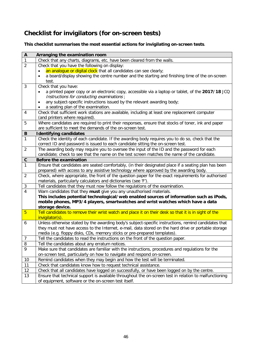## **Checklist for invigilators (for on-screen tests)**

### **This checklist summarises the most essential actions for invigilating on-screen tests**.

| $\boldsymbol{\mathsf{A}}$    | Arranging the examination room                                                                                                                                 |
|------------------------------|----------------------------------------------------------------------------------------------------------------------------------------------------------------|
| $\overline{1}$               | Check that any charts, diagrams, etc. have been cleared from the walls.                                                                                        |
| $\overline{2}$               | Check that you have the following on display:                                                                                                                  |
|                              | an analogue or digital clock that all candidates can see clearly;                                                                                              |
|                              | a board/display showing the centre number and the starting and finishing time of the on-screen                                                                 |
|                              | test.                                                                                                                                                          |
| 3                            | Check that you have:                                                                                                                                           |
|                              | a printed paper copy or an electronic copy, accessible via a laptop or tablet, of the 2017/18 JCQ                                                              |
|                              | Instructions for conducting examinations;                                                                                                                      |
|                              | any subject-specific instructions issued by the relevant awarding body;<br>٠                                                                                   |
|                              | a seating plan of the examination.<br>٠                                                                                                                        |
| 4                            | Check that sufficient work stations are available, including at least one replacement computer                                                                 |
|                              | (and printers where required).                                                                                                                                 |
| 5                            | Where candidates are required to print their responses, ensure that stocks of toner, ink and paper                                                             |
|                              | are sufficient to meet the demands of the on-screen test.                                                                                                      |
| B                            | <b>Identifying candidates</b>                                                                                                                                  |
| $\overline{1}$               | Check the identity of each candidate. If the awarding body requires you to do so, check that the                                                               |
|                              | correct ID and password is issued to each candidate sitting the on-screen test.                                                                                |
| $\overline{2}$               | The awarding body may require you to oversee the input of the ID and the password for each                                                                     |
|                              | candidate; check to see that the name on the test screen matches the name of the candidate.                                                                    |
| $\mathbf c$                  | Before the examination                                                                                                                                         |
| $\mathbf{1}$                 | Ensure that candidates are seated comfortably, (in their designated place if a seating plan has been                                                           |
|                              | prepared) with access to any assistive technology where approved by the awarding body.                                                                         |
| $\overline{2}$               | Check, where appropriate, the front of the question paper for the exact requirements for authorised                                                            |
|                              | materials, particularly calculators and dictionaries (see 'F').                                                                                                |
| $\sqrt{3}$<br>$\overline{4}$ | Tell candidates that they must now follow the regulations of the examination.                                                                                  |
|                              | Warn candidates that they must give you any unauthorised materials.<br>This includes potential technological/web enabled sources of information such as iPods, |
|                              | mobile phones, MP3/4 players, smartwatches and wrist watches which have a data                                                                                 |
|                              | storage device.                                                                                                                                                |
| $\overline{5}$               | Tell candidates to remove their wrist watch and place it on their desk so that it is in sight of the                                                           |
|                              | invigilator(s).                                                                                                                                                |
| 6                            | Unless otherwise stated by the awarding body's subject-specific instructions, remind candidates that                                                           |
|                              | they must not have access to the Internet, e-mail, data stored on the hard drive or portable storage                                                           |
|                              | media (e.g. floppy disks, CDs, memory sticks or pre-prepared templates).                                                                                       |
| $\overline{7}$               | Tell the candidates to read the instructions on the front of the question paper.                                                                               |
| 8                            | Tell the candidates about any erratum notices.                                                                                                                 |
| 9                            | Make sure that candidates are familiar with the instructions, procedures and regulations for the                                                               |
|                              | on-screen test, particularly on how to navigate and respond on-screen.                                                                                         |
| 10                           | Remind candidates when they may begin and how the test will be terminated.                                                                                     |
| 11                           | Check that candidates know how to request technical assistance.                                                                                                |
| 12                           | Check that all candidates have logged on successfully, or have been logged on by the centre.                                                                   |
| 13                           | Ensure that technical support is available throughout the on-screen test in relation to malfunctioning                                                         |
|                              | of equipment, software or the on-screen test itself.                                                                                                           |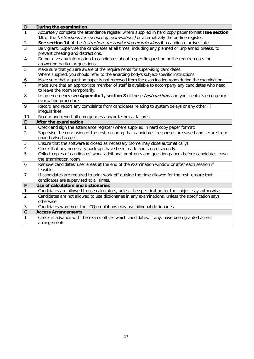| D                | During the examination                                                                                |
|------------------|-------------------------------------------------------------------------------------------------------|
| $\mathbf{1}$     | Accurately complete the attendance register where supplied in hard copy paper format (see section     |
|                  | 15 of the <i>Instructions for conducting examinations</i> ) or alternatively the on-line register.    |
| $\sqrt{2}$       | See section 14 of the Instructions for conducting examinations if a candidate arrives late.           |
| $\overline{3}$   | Be vigilant. Supervise the candidates at all times, including any planned or unplanned breaks, to     |
|                  | prevent cheating and distractions.                                                                    |
| $\overline{4}$   | Do not give any information to candidates about a specific question or the requirements for           |
|                  | answering particular questions.                                                                       |
| 5                | Make sure that you are aware of the requirements for supervising candidates.                          |
|                  | Where supplied, you should refer to the awarding body's subject-specific instructions.                |
| $\boldsymbol{6}$ | Make sure that a question paper is not removed from the examination room during the examination.      |
| $\overline{7}$   | Make sure that an appropriate member of staff is available to accompany any candidates who need       |
|                  | to leave the room temporarily.                                                                        |
| 8                | In an emergency see Appendix 1, section 8 of these Instructions and your centre's emergency           |
|                  | evacuation procedure.                                                                                 |
| 9                | Record and report any complaints from candidates relating to system delays or any other IT            |
|                  | irregularities.                                                                                       |
| 10               | Record and report all emergencies and/or technical failures.                                          |
| $\mathsf E$      | After the examination                                                                                 |
| $\mathbf{1}$     | Check and sign the attendance register (where supplied in hard copy paper format).                    |
| $\overline{2}$   | Supervise the conclusion of the test, ensuring that candidates' responses are saved and secure from   |
|                  | unauthorised access.                                                                                  |
| 3                | Ensure that the software is closed as necessary (some may close automatically).                       |
| $\overline{4}$   | Check that any necessary back-ups have been made and stored securely.                                 |
| $\overline{5}$   | Collect copies of candidates' work, additional print-outs and question papers before candidates leave |
|                  | the examination room.                                                                                 |
| 6                | Remove candidates' user areas at the end of the examination window or after each session if           |
|                  | feasible.                                                                                             |
| $\overline{7}$   | If candidates are required to print work off outside the time allowed for the test, ensure that       |
|                  | candidates are supervised at all times.                                                               |
| $\mathsf{F}$     | Use of calculators and dictionaries                                                                   |
| 1                | Candidates are allowed to use calculators, unless the specification for the subject says otherwise.   |
| $\overline{2}$   | Candidates are not allowed to use dictionaries in any examinations, unless the specification says     |
|                  | otherwise.                                                                                            |
| $\sqrt{3}$       | Candidates who meet the JCQ regulations may use bilingual dictionaries.                               |
| $\overline{G}$   | <b>Access Arrangements</b>                                                                            |
| $\mathbf{1}$     | Check in advance with the exams officer which candidates, if any, have been granted access            |
|                  | arrangements.                                                                                         |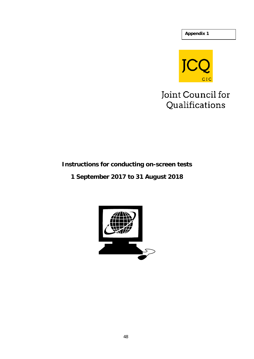**Appendix 1**



# Joint Council for Qualifications

## **Instructions for conducting on-screen tests**

## **1 September 2017 to 31 August 2018**

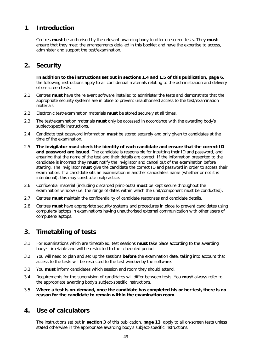## **1**. **Introduction**

Centres **must** be authorised by the relevant awarding body to offer on-screen tests. They **must**  ensure that they meet the arrangements detailed in this booklet and have the expertise to access, administer and support the test/examination.

## **2. Security**

**In addition to the instructions set out in sections 1.4 and 1.5 of this publication, page 6**, the following instructions apply to all confidential materials relating to the administration and delivery of on-screen tests.

- 2.1 Centres **must** have the relevant software installed to administer the tests and demonstrate that the appropriate security systems are in place to prevent unauthorised access to the test/examination materials.
- 2.2 Electronic test/examination materials **must** be stored securely at all times.
- 2.3 The test/examination materials **must** only be accessed in accordance with the awarding body's subject-specific instructions.
- 2.4 Candidate test password information **must** be stored securely and only given to candidates at the time of the examination.
- 2.5 **The invigilator must check the identity of each candidate and ensure that the correct ID and password are issued**. The candidate is responsible for inputting their ID and password, and ensuring that the name of the test and their details are correct. If the information presented to the candidate is incorrect they **must** notify the invigilator and cancel out of the examination before starting. The invigilator **must** give the candidate the correct ID and password in order to access their examination. If a candidate sits an examination in another candidate's name (whether or not it is intentional), this may constitute malpractice.
- 2.6 Confidential material (including discarded print-outs) **must** be kept secure throughout the examination window (i.e. the range of dates within which the unit/component must be conducted).
- 2.7 Centres **must** maintain the confidentiality of candidate responses and candidate details.
- 2.8 Centres **must** have appropriate security systems and procedures in place to prevent candidates using computers/laptops in examinations having unauthorised external communication with other users of computers/laptops.

## **3. Timetabling of tests**

- 3.1 For examinations which are timetabled, test sessions **must** take place according to the awarding body's timetable and will be restricted to the scheduled period.
- 3.2 You will need to plan and set up the sessions **before** the examination date, taking into account that access to the tests will be restricted to the test window by the software.
- 3.3 You **must** inform candidates which session and room they should attend.
- 3.4 Requirements for the supervision of candidates will differ between tests. You **must** always refer to the appropriate awarding body's subject-specific instructions.
- 3.5 **Where a test is on-demand, once the candidate has completed his or her test, there is no reason for the candidate to remain within the examination room**.

## **4. Use of calculators**

The instructions set out in **section 3** of this publication, **page 13**, apply to all on-screen tests unless stated otherwise in the appropriate awarding body's subject-specific instructions.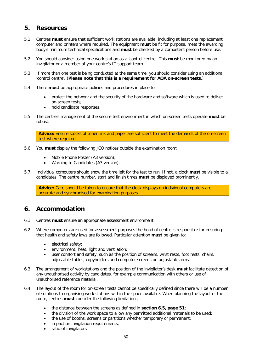## **5. Resources**

- 5.1 Centres **must** ensure that sufficient work stations are available, including at least one replacement computer and printers where required. The equipment **must** be fit for purpose, meet the awarding body's minimum technical specifications and **must** be checked by a competent person before use.
- 5.2 You should consider using one work station as a 'control centre'. This **must** be monitored by an invigilator or a member of your centre's IT support team.
- 5.3 If more than one test is being conducted at the same time, you should consider using an additional 'control centre'. (**Please note that this is a requirement for AQA on-screen tests**.)
- 5.4 There **must** be appropriate policies and procedures in place to:
	- protect the network and the security of the hardware and software which is used to deliver on-screen tests;
	- hold candidate responses.
- 5.5 The centre's management of the secure test environment in which on-screen tests operate **must** be robust.

**Advice:** Ensure stocks of toner, ink and paper are sufficient to meet the demands of the on-screen test where required.

- 5.6 You **must** display the following JCQ notices outside the examination room:
	- Mobile Phone Poster (A3 version);
	- Warning to Candidates (A3 version).
- 5.7 Individual computers should show the time left for the test to run. If not, a clock **must** be visible to all candidates. The centre number, start and finish times **must** be displayed prominently.

**Advice:** Care should be taken to ensure that the clock displays on individual computers are accurate and synchronised for examination purposes.

## **6. Accommodation**

- 6.1 Centres **must** ensure an appropriate assessment environment.
- 6.2 Where computers are used for assessment purposes the head of centre is responsible for ensuring that health and safety laws are followed. Particular attention **must** be given to:
	- electrical safety;
	- environment, heat, light and ventilation;
	- user comfort and safety, such as the position of screens, wrist rests, foot rests, chairs, adjustable tables, copyholders and computer screens on adjustable arms.
- 6.3 The arrangement of workstations and the position of the invigilator's desk **must** facilitate detection of any unauthorised activity by candidates, for example communication with others or use of unauthorised reference material.
- 6.4 The layout of the room for on-screen tests cannot be specifically defined since there will be a number of solutions to organising work stations within the space available. When planning the layout of the room, centres **must** consider the following limitations:
	- the distance between the screens as defined in **section 6.5, page 51**;
	- the division of the work space to allow any permitted additional materials to be used;
	- the use of booths, screens or partitions whether temporary or permanent;
	- impact on invigilation requirements;
	- ratio of invigilators.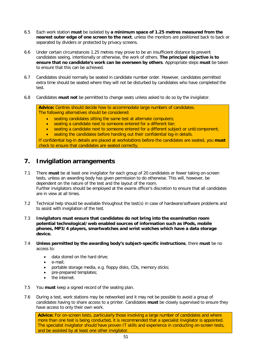- 6.5 Each work station **must** be isolated by **a minimum space of 1.25 metres measured from the nearest outer edge of one screen to the next**, unless the monitors are positioned back to back or separated by dividers or protected by privacy screens.
- 6.6 Under certain circumstances 1.25 metres may prove to be an insufficient distance to prevent candidates seeing, intentionally or otherwise, the work of others. **The principal objective is to ensure that no candidate's work can be overseen by others**. Appropriate steps **must** be taken to ensure that this can be achieved.
- 6.7 Candidates should normally be seated in candidate number order. However, candidates permitted extra time should be seated where they will not be disturbed by candidates who have completed the test.
- 6.8 Candidates **must not** be permitted to change seats unless asked to do so by the invigilator.

**Advice:** Centres should decide how to accommodate large numbers of candidates. The following alternatives should be considered:

- seating candidates sitting the same test at alternate computers;
- seating a candidate next to someone entered for a different tier;
- seating a candidate next to someone entered for a different subject or unit/component;
- seating the candidates before handing out their confidential log-in details.

If confidential log-in details are placed at workstations before the candidates are seated, you **must** check to ensure that candidates are seated correctly.

## **7. Invigilation arrangements**

- 7.1 There **must** be at least one invigilator for each group of 20 candidates or fewer taking on-screen tests, unless an awarding body has given permission to do otherwise. This will, however, be dependent on the nature of the test and the layout of the room. Further invigilators should be employed at the exams officer's discretion to ensure that all candidates are in view at all times.
- 7.2 Technical help should be available throughout the test(s) in case of hardware/software problems and to assist with invigilation of the test.
- 7.3 **Invigilators must ensure that candidates do not bring into the examination room potential technological/web enabled sources of information such as iPods, mobile phones, MP3/4 players, smartwatches and wrist watches which have a data storage device.**
- 7.4 **Unless permitted by the awarding body's subject-specific instructions**, there **must** be no access to:
	- data stored on the hard drive;
	- e-mail;
	- portable storage media, e.g. floppy disks, CDs, memory sticks;
	- pre-prepared templates;
	- the internet.
- 7.5 You **must** keep a signed record of the seating plan.
- 7.6 During a test, work stations may be networked and it may not be possible to avoid a group of candidates having to share access to a printer. Candidates **must** be closely supervised to ensure they have access to only their own work.

**Advice:** For on-screen tests, particularly those involving a large number of candidates and where more than one test is being conducted, it is recommended that a specialist invigilator is appointed. The specialist invigilator should have proven IT skills and experience in conducting on-screen tests, and be assisted by at least one other invigilator.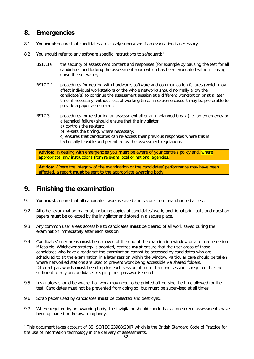## **8. Emergencies**

- 8.1 You **must** ensure that candidates are closely supervised if an evacuation is necessary.
- 8.2 You should refer to any software specific instructions to safeguard:<sup>[1](#page-59-0)</sup>
	- BS17.1a the security of assessment content and responses (for example by pausing the test for all candidates and locking the assessment room which has been evacuated without closing down the software);
	- BS17.2.1 procedures for dealing with hardware, software and communication failures (which may affect individual workstations or the whole network) should normally allow the candidate(s) to continue the assessment session at a different workstation or at a later time, if necessary, without loss of working time. In extreme cases it may be preferable to provide a paper assessment;
	- BS17.3 procedures for re-starting an assessment after an unplanned break (i.e. an emergency or a technical failure) should ensure that the invigilator:
		- a) controls the re-start;

b) re-sets the timing, where necessary;

c) ensures that candidates can re-access their previous responses where this is technically feasible and permitted by the assessment regulations.

**Advice:** In dealing with emergencies you **must** be aware of your centre's policy and, where appropriate, any instructions from relevant local or national agencies.

**Advice:** Where the integrity of the examination or the candidates' performance may have been affected, a report **must** be sent to the appropriate awarding body.

## **9. Finishing the examination**

- 9.1 You **must** ensure that all candidates' work is saved and secure from unauthorised access.
- 9.2 All other examination material, including copies of candidates' work, additional print-outs and question papers **must** be collected by the invigilator and stored in a secure place.
- 9.3 Any common user areas accessible to candidates **must** be cleared of all work saved during the examination immediately after each session.
- 9.4 Candidates' user areas **must** be removed at the end of the examination window or after each session if feasible. Whichever strategy is adopted, centres **must** ensure that the user areas of those candidates who have already sat the examination cannot be accessed by candidates who are scheduled to sit the examination in a later session within the window. Particular care should be taken where networked stations are used to prevent work being accessible via shared folders. Different passwords **must** be set up for each session, if more than one session is required. It is not sufficient to rely on candidates keeping their passwords secret.
- 9.5 Invigilators should be aware that work may need to be printed off outside the time allowed for the test. Candidates must not be prevented from doing so, but **must** be supervised at all times.
- 9.6 Scrap paper used by candidates **must** be collected and destroyed.
- 9.7 Where required by an awarding body, the invigilator should check that all on-screen assessments have been uploaded to the awarding body.

<span id="page-59-0"></span> <sup>1</sup> This document takes account of BS ISO/IEC 23988:2007 which is the British Standard Code of Practice for the use of information technology in the delivery of assessments.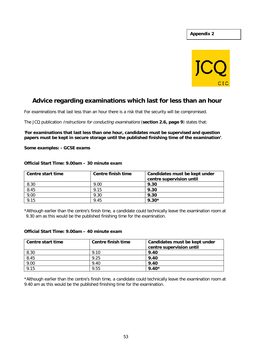

## **Advice regarding examinations which last for less than an hour**

For examinations that last less than an hour there is a risk that the security will be compromised.

The JCQ publication Instructions for conducting examinations (**section 2.6, page 9**) states that:

'**For examinations that last less than one hour, candidates must be supervised and question papers must be kept in secure storage until the published finishing time of the examination'**.

**Some examples: - GCSE exams**

| Centre start time | Centre finish time | Candidates must be kept under |
|-------------------|--------------------|-------------------------------|
|                   |                    | centre supervision until      |
| 8.30              | 9.00               | 9.30                          |
| 8.45              | 9.15               | 9.30                          |
| 9.00              | 9.30               | 9.30                          |
| 9.15              | 9.45               | $9.30*$                       |

### **Official Start Time: 9.00am – 30 minute exam**

\*Although earlier than the centre's finish time, a candidate could technically leave the examination room at 9.30 am as this would be the published finishing time for the examination.

### **Official Start Time: 9.00am – 40 minute exam**

| Centre start time | <b>Centre finish time</b> | Candidates must be kept under<br>centre supervision until |
|-------------------|---------------------------|-----------------------------------------------------------|
| 8.30              | 9.10                      | 9.40                                                      |
| 8.45              | 9.25                      | 9.40                                                      |
| 9.00              | 9.40                      | 9.40                                                      |
| 9.15              | 9.55                      | $9.40*$                                                   |

\*Although earlier than the centre's finish time, a candidate could technically leave the examination room at 9.40 am as this would be the published finishing time for the examination.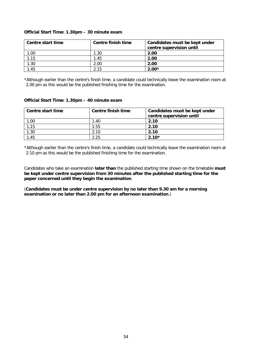### **Official Start Time: 1.30pm – 30 minute exam**

| Centre start time | Centre finish time | Candidates must be kept under<br>centre supervision until |
|-------------------|--------------------|-----------------------------------------------------------|
| .00.              | 1.30               | 2.00                                                      |
| .15               | 1.45               | 2.00                                                      |
| .30               | 2.00               | 2.00                                                      |
| .45               | 2.15               | $2.00*$                                                   |

\*Although earlier than the centre's finish time, a candidate could technically leave the examination room at 2.00 pm as this would be the published finishing time for the examination.

### **Official Start Time: 1.30pm – 40 minute exam**

| Centre start time | Centre finish time | Candidates must be kept under<br>centre supervision until |
|-------------------|--------------------|-----------------------------------------------------------|
| 1.00              | 1.40               | 2.10                                                      |
| 1.15              | 1.55               | 2.10                                                      |
| 1.30              | 2.10               | 2.10                                                      |
| .45               | 2.25               | $2.10*$                                                   |

\*Although earlier than the centre's finish time, a candidate could technically leave the examination room at 2.10 pm as this would be the published finishing time for the examination.

Candidates who take an examination **later than** the published starting time shown on the timetable **must be kept under centre supervision from 30 minutes after the published starting time for the paper concerned until they begin the examination**.

(**Candidates must be under centre supervision by no later than 9.30 am for a morning examination or no later than 2.00 pm for an afternoon examination**.)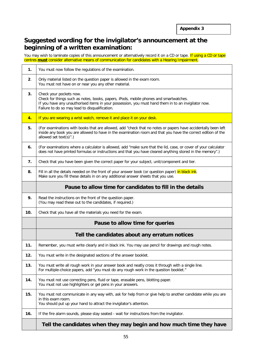## **Suggested wording for the invigilator's announcement at the beginning of a written examination:**

You may wish to laminate copies of this announcement or alternatively record it on a CD or tape. If using a CD or tape centres **must** consider alternative means of communication for candidates with a Hearing Impairment.

| 1.  | You must now follow the regulations of the examination.                                                                                                                                                                                                                   |  |
|-----|---------------------------------------------------------------------------------------------------------------------------------------------------------------------------------------------------------------------------------------------------------------------------|--|
| 2.  | Only material listed on the question paper is allowed in the exam room.<br>You must not have on or near you any other material.                                                                                                                                           |  |
| 3.  | Check your pockets now.<br>Check for things such as notes, books, papers, iPods, mobile phones and smartwatches.<br>If you have any unauthorised items in your possession, you must hand them in to an invigilator now.<br>Failure to do so may lead to disqualification. |  |
| 4.  | If you are wearing a wrist watch, remove it and place it on your desk.                                                                                                                                                                                                    |  |
| 5.  | (For examinations with books that are allowed, add "check that no notes or papers have accidentally been left<br>inside any book you are allowed to have in the examination room and that you have the correct edition of the<br>allowed set text(s)".)                   |  |
| 6.  | (For examinations where a calculator is allowed, add "make sure that the lid, case, or cover of your calculator<br>does not have printed formulas or instructions and that you have cleared anything stored in the memory".)                                              |  |
| 7.  | Check that you have been given the correct paper for your subject, unit/component and tier.                                                                                                                                                                               |  |
| 8.  | Fill in all the details needed on the front of your answer book (or question paper) in black ink.<br>Make sure you fill these details in on any additional answer sheets that you use.                                                                                    |  |
|     | Pause to allow time for candidates to fill in the details                                                                                                                                                                                                                 |  |
| 9.  | Read the instructions on the front of the question paper.<br>(You may read these out to the candidates, if required.)                                                                                                                                                     |  |
| 10. | Check that you have all the materials you need for the exam.                                                                                                                                                                                                              |  |
|     | Pause to allow time for queries                                                                                                                                                                                                                                           |  |
|     | Tell the candidates about any erratum notices                                                                                                                                                                                                                             |  |
| 11. | Remember, you must write clearly and in black ink. You may use pencil for drawings and rough notes.                                                                                                                                                                       |  |
| 12. | You must write in the designated sections of the answer booklet.                                                                                                                                                                                                          |  |
| 13. |                                                                                                                                                                                                                                                                           |  |
|     | You must write all rough work in your answer book and neatly cross it through with a single line.<br>For multiple-choice papers, add "you must do any rough work in the question booklet."                                                                                |  |
| 14. | You must not use correcting pens, fluid or tape, erasable pens, blotting paper.<br>You must not use highlighters or gel pens in your answers.                                                                                                                             |  |
| 15. | You must not communicate in any way with, ask for help from or give help to another candidate while you are<br>in this exam room.<br>You should put up your hand to attract the invigilator's attention.                                                                  |  |
| 16. | If the fire alarm sounds, please stay seated - wait for instructions from the invigilator.                                                                                                                                                                                |  |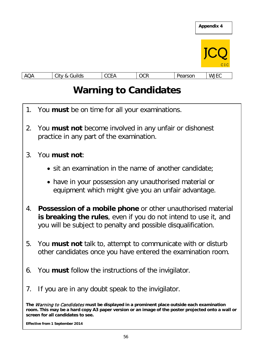

# **Warning to Candidates**

- 1. You **must** be on time for all your examinations.
- 2. You **must not** become involved in any unfair or dishonest practice in any part of the examination.
- 3. You **must not**:
	- sit an examination in the name of another candidate;
	- have in your possession any unauthorised material or equipment which might give you an unfair advantage.
- 4. **Possession of a mobile phone** or other unauthorised material **is breaking the rules**, even if you do not intend to use it, and you will be subject to penalty and possible disqualification.
- 5. You **must not** talk to, attempt to communicate with or disturb other candidates once you have entered the examination room.
- 6. You **must** follow the instructions of the invigilator.
- 7. If you are in any doubt speak to the invigilator.

**The** Warning to Candidates **must be displayed in a prominent place outside each examination room. This may be a hard copy A3 paper version or an image of the poster projected onto a wall or screen for all candidates to see.**

**Effective from 1 September 2014**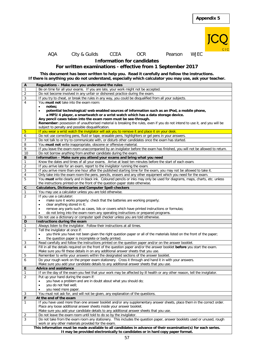

### AQA City & Guilds CCEA OCR Pearson WJEC

**Information for candidates**

### **For written examinations - effective from 1 September 2017**

**This document has been written to help you. Read it carefully and follow the instructions. If there is anything you do not understand, especially which calculator you may use, ask your teacher.**

| A              | Regulations - Make sure you understand the rules                                                                                                                                               |
|----------------|------------------------------------------------------------------------------------------------------------------------------------------------------------------------------------------------|
| $\mathbf{1}$   | Be on time for all your exams. If you are late, your work might not be accepted.                                                                                                               |
| $\overline{2}$ | Do not become involved in any unfair or dishonest practice during the exam.                                                                                                                    |
| $\overline{3}$ | If you try to cheat, or break the rules in any way, you could be disqualified from all your subjects.                                                                                          |
| $\overline{4}$ | You must not take into the exam room:                                                                                                                                                          |
|                | notes;<br>$\bullet$                                                                                                                                                                            |
|                | potential technological/web enabled sources of information such as an iPod, a mobile phone,<br>٠                                                                                               |
|                | a MP3/4 player, a smartwatch or a wrist watch which has a data storage device.                                                                                                                 |
|                | Any pencil cases taken into the exam room must be see-through.                                                                                                                                 |
|                | Remember: possession of unauthorised material is breaking the rules, even if you do not intend to use it, and you will be                                                                      |
|                | subject to penalty and possible disqualification.                                                                                                                                              |
| 5              | If you wear a wrist watch the invigilator will ask you to remove it and place it on your desk.                                                                                                 |
| 6              | Do not use correcting pens, fluid or tape, erasable pens, highlighters or gel pens in your answers.                                                                                            |
|                |                                                                                                                                                                                                |
| $\overline{7}$ | Do not talk to or try to communicate with, or disturb other candidates once the exam has started.                                                                                              |
| 8              | You must not write inappropriate, obscene or offensive material.                                                                                                                               |
| 9              | If you leave the exam room unaccompanied by an invigilator before the exam has finished, you will not be allowed to return.                                                                    |
| 10             | Do not borrow anything from another candidate during the exam.                                                                                                                                 |
| В              | Information - Make sure you attend your exams and bring what you need                                                                                                                          |
| $\mathbf{1}$   | Know the dates and times of all your exams. Arrive at least ten minutes before the start of each exam.                                                                                         |
| $\overline{2}$ | If you arrive late for an exam, report to the invigilator running the exam.                                                                                                                    |
| $\sqrt{3}$     | If you arrive more than one hour after the published starting time for the exam, you may not be allowed to take it.                                                                            |
| 4              | Only take into the exam room the pens, pencils, erasers and any other equipment which you need for the exam.                                                                                   |
| 5              | You must write clearly and in black ink. Coloured pencils or inks may only be used for diagrams, maps, charts, etc. unless                                                                     |
|                | the instructions printed on the front of the question paper state otherwise.                                                                                                                   |
| $\mathbf{C}$   | <b>Calculators, Dictionaries and Computer Spell-checkers</b>                                                                                                                                   |
| $\mathbf{1}$   | You may use a calculator unless you are told otherwise.                                                                                                                                        |
| $\overline{2}$ | If you use a calculator:                                                                                                                                                                       |
|                | make sure it works properly; check that the batteries are working properly;<br>$\bullet$                                                                                                       |
|                | clear anything stored in it;                                                                                                                                                                   |
|                | ٠<br>remove any parts such as cases, lids or covers which have printed instructions or formulas;                                                                                               |
|                | do not bring into the exam room any operating instructions or prepared programs.                                                                                                               |
|                |                                                                                                                                                                                                |
| 3<br>D         | Do not use a dictionary or computer spell checker unless you are told otherwise.                                                                                                               |
|                |                                                                                                                                                                                                |
|                | Instructions during the exam                                                                                                                                                                   |
| 1              | Always listen to the invigilator. Follow their instructions at all times.                                                                                                                      |
| $\overline{2}$ | Tell the invigilator at once if:                                                                                                                                                               |
|                | you think you have not been given the right question paper or all of the materials listed on the front of the paper;                                                                           |
|                | the question paper is incomplete or badly printed.<br>$\bullet$                                                                                                                                |
| 3              | Read carefully and follow the instructions printed on the question paper and/or on the answer booklet.                                                                                         |
| $\overline{4}$ | Fill in all the details required on the front of the question paper and/or the answer booklet before you start the exam.                                                                       |
|                | Make sure you fill these details in on any additional answer sheets that you use.                                                                                                              |
| 5              | Remember to write your answers within the designated sections of the answer booklet.                                                                                                           |
| 6              | Do your rough work on the proper exam stationery. Cross it through and hand it in with your answers.                                                                                           |
|                | Make sure you add your candidate details to any additional answer sheets that you use.                                                                                                         |
| Е              | <b>Advice and assistance</b>                                                                                                                                                                   |
| $\mathbf{1}$   |                                                                                                                                                                                                |
| 2              | If on the day of the exam you feel that your work may be affected by ill health or any other reason, tell the invigilator.                                                                     |
|                | Put up your hand during the exam if:<br>$\bullet$                                                                                                                                              |
|                | you have a problem and are in doubt about what you should do;<br>$\bullet$                                                                                                                     |
|                | you do not feel well;<br>٠                                                                                                                                                                     |
|                | you need more paper.                                                                                                                                                                           |
| 3              | You must not ask for, and will not be given, any explanation of the questions.                                                                                                                 |
| F              | At the end of the exam                                                                                                                                                                         |
| $\mathbf{1}$   | If you have used more than one answer booklet and/or any supplementary answer sheets, place them in the correct order.                                                                         |
|                | Place any loose additional answer sheets inside your answer booklet.                                                                                                                           |
|                | Make sure you add your candidate details to any additional answer sheets that you use.                                                                                                         |
| 2              | Do not leave the exam room until told to do so by the invigilator.                                                                                                                             |
| 3              | Do not take from the exam room any stationery. This includes the question paper, answer booklets used or unused, rough                                                                         |
|                | work or any other materials provided for the exam.                                                                                                                                             |
|                | This information must be made available to all candidates in advance of their examination(s) for each series.<br>It may be provided electronically to candidates or in hard copy paper format. |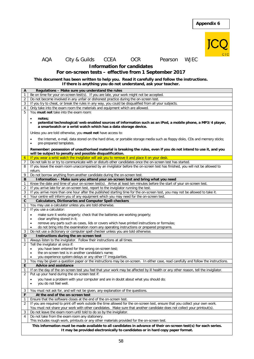

AQA City & Guilds CCEA OCR Pearson WJEC

**Information for candidates**

**For on-screen tests – effective from 1 September 2017**

### **This document has been written to help you. Read it carefully and follow the instructions. If there is anything you do not understand, ask your teacher.**

| A              | Regulations - Make sure you understand the rules                                                                                         |
|----------------|------------------------------------------------------------------------------------------------------------------------------------------|
| 1              | Be on time for your on-screen test(s). If you are late, your work might not be accepted.                                                 |
| $\overline{2}$ | Do not become involved in any unfair or dishonest practice during the on-screen test.                                                    |
|                | If you try to cheat, or break the rules in any way, you could be disqualified from all your subjects.                                    |
| 3              |                                                                                                                                          |
| $\overline{4}$ | Only take into the exam room the materials and equipment which are allowed.                                                              |
| 5              | You must not take into the exam room:                                                                                                    |
|                | notes;<br>$\bullet$                                                                                                                      |
|                | potential technological/web enabled sources of information such as an iPod, a mobile phone, a MP3/4 player,<br>$\bullet$                 |
|                | a smartwatch or a wrist watch which has a data storage device.                                                                           |
|                |                                                                                                                                          |
|                | Unless you are told otherwise, you must not have access to:                                                                              |
|                | the Internet, e-mail, data stored on the hard drive, or portable storage media such as floppy disks, CDs and memory sticks;<br>$\bullet$ |
|                | pre-prepared templates.<br>$\bullet$                                                                                                     |
|                |                                                                                                                                          |
|                | Remember: possession of unauthorised material is breaking the rules, even if you do not intend to use it, and you                        |
|                | will be subject to penalty and possible disqualification.                                                                                |
| $\overline{6}$ | If you wear a wrist watch the invigilator will ask you to remove it and place it on your desk.                                           |
| 7              | Do not talk to or try to communicate with or disturb other candidates once the on-screen test has started.                               |
| 8              | If you leave the exam room unaccompanied by an invigilator before the on-screen test has finished, you will not be allowed to            |
|                | return.                                                                                                                                  |
| 9              | Do not borrow anything from another candidate during the on-screen test.                                                                 |
| B              | Information - Make sure you attend your on-screen test and bring what you need                                                           |
| 1              | Know the date and time of your on-screen test(s). Arrive at least ten minutes before the start of your on-screen test.                   |
| $\overline{2}$ | If you arrive late for an on-screen test, report to the invigilator running the test.                                                    |
| 3              | If you arrive more than one hour after the published starting time for the on-screen test, you may not be allowed to take it.            |
| 4              | Your centre will inform you of any equipment which you may need for the on-screen test.                                                  |
| $\mathbf{C}$   | <b>Calculators, Dictionaries and Computer Spell-checkers</b>                                                                             |
| 1              | You may use a calculator unless you are told otherwise.                                                                                  |
| $\overline{2}$ | If you use a calculator:                                                                                                                 |
|                | make sure it works properly; check that the batteries are working properly;<br>$\bullet$                                                 |
|                | clear anything stored in it;<br>$\bullet$                                                                                                |
|                | remove any parts such as cases, lids or covers which have printed instructions or formulas;<br>$\bullet$                                 |
|                | do not bring into the examination room any operating instructions or prepared programs.<br>$\bullet$                                     |
| 3              | Do not use a dictionary or computer spell checker unless you are told otherwise.                                                         |
| D              | Instructions during the on-screen test                                                                                                   |
| 1              | Always listen to the invigilator. Follow their instructions at all times.                                                                |
| $\overline{2}$ | Tell the invigilator at once if:                                                                                                         |
|                | you have been entered for the wrong on-screen test;<br>$\bullet$                                                                         |
|                | the on-screen test is in another candidate's name;<br>$\bullet$                                                                          |
|                | you experience system delays or any other IT irregularities.<br>٠                                                                        |
| 3              | You may be given a question paper or the instructions may be on-screen. In either case, read carefully and follow the instructions.      |
| Е              | <b>Advice and assistance</b>                                                                                                             |
| 1              | If on the day of the on-screen test you feel that your work may be affected by ill health or any other reason, tell the invigilator.     |
| $\overline{2}$ | Put up your hand during the on-screen test if:                                                                                           |
|                |                                                                                                                                          |
|                | you have a problem with your computer and are in doubt about what you should do;<br>$\bullet$                                            |
|                | you do not feel well.<br>$\bullet$                                                                                                       |
| 3              | You must not ask for, and will not be given, any explanation of the questions.                                                           |
| F              | At the end of the on-screen test                                                                                                         |
| $\mathbf{1}$   | Ensure that the software closes at the end of the on-screen test.                                                                        |
| 2              | If you are required to print off work outside the time allowed for the on-screen test, ensure that you collect your own work.            |
|                | You must not share your work with other candidates. Make sure that another candidate does not collect your printout(s).                  |
|                | Do not leave the exam room until told to do so by the invigilator.                                                                       |
| 3<br>4         |                                                                                                                                          |
|                | Do not take from the exam room any stationery.                                                                                           |
|                | This includes rough work, printouts or any other materials provided for the on-screen test.                                              |
|                | This information must be made available to all candidates in advance of their on-screen test(s) for each series.                         |
|                | It may be provided electronically to candidates or in hard copy paper format.                                                            |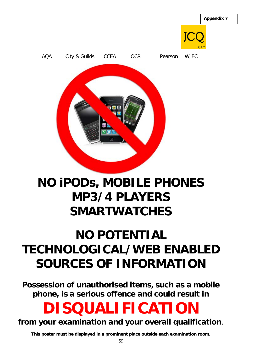

AQA City & Guilds CCEA OCR Pearson WJEC

# **NO iPODs, MOBILE PHONES MP3/4 PLAYERS SMARTWATCHES**

# **NO POTENTIAL TECHNOLOGICAL/WEB ENABLED SOURCES OF INFORMATION**

**Possession of unauthorised items, such as a mobile phone, is a serious offence and could result in**

# **DISQUALIFICATION**

## **from your examination and your overall qualification**.

**This poster must be displayed in a prominent place outside each examination room.**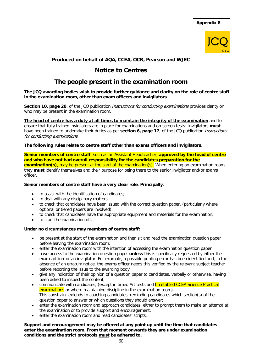

### **Produced on behalf of AQA, CCEA, OCR, Pearson and WJEC**

### **Notice to Centres**

## **The people present in the examination room**

### **The JCQ awarding bodies wish to provide further guidance and clarity on the role of centre staff in the examination room, other than exam officers and invigilators**.

**Section 10, page 28**, of the JCQ publication *Instructions for conducting examinations* provides clarity on who may be present in the examination room.

**The head of centre has a duty at all times to maintain the integrity of the examination** and to ensure that fully trained invigilators are in place for examinations and on-screen tests. Invigilators **must** have been trained to undertake their duties as per **section 6, page 17**, of the JCQ publication Instructions for conducting examinations.

### **The following rules relate to centre staff other than exams officers and invigilators**.

**Senior members of centre staff**, such as an Assistant Headteacher, **approved by the head of centre and who have not had overall responsibility for the candidates preparation for the** 

**examination(s)**, may be present at the start of the examination(s). When entering an examination room, they **must** identify themselves and their purpose for being there to the senior invigilator and/or exams officer.

### **Senior members of centre staff have a very clear role**. **Principally**:

- to assist with the identification of candidates;
- to deal with any disciplinary matters;
- to check that candidates have been issued with the correct question paper, (particularly where optional or tiered papers are involved);
- to check that candidates have the appropriate equipment and materials for the examination;
- to start the examination off.

### **Under no circumstances may members of centre staff:**

- be present at the start of the examination and then sit and read the examination question paper before leaving the examination room;
- enter the examination room with the intention of accessing the examination question paper;
- have access to the examination question paper **unless** this is specifically requested by either the exams officer or an invigilator. For example, a possible printing error has been identified and, in the absence of an erratum notice, the exams officer needs this verified by the relevant subject teacher before reporting the issue to the awarding body;
- give any indication of their opinion of a question paper to candidates, verbally or otherwise, having been asked to inspect the content;
- communicate with candidates, (except in timed Art tests and timetabled CCEA Science Practical examinations or where maintaining discipline in the examination room). This constraint extends to coaching candidates, reminding candidates which section(s) of the question paper to answer or which questions they should answer;
- enter the examination room and approach candidates, either to prompt them to make an attempt at the examination or to provide support and encouragement;
- enter the examination room and read candidates' scripts.

### **Support and encouragement may be offered at any point up until the time that candidates enter the examination room. From that moment onwards they are under examination conditions and the strict protocols must be adhered to.**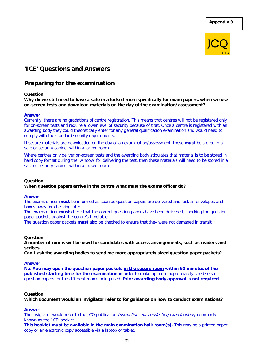**Appendix 9**



## **'ICE' Questions and Answers**

## **Preparing for the examination**

### **Question**

**Why do we still need to have a safe in a locked room specifically for exam papers, when we use on-screen tests and download materials on the day of the examination/assessment?**

### **Answer**

Currently, there are no gradations of centre registration. This means that centres will not be registered only for on-screen tests and require a lower level of security because of that. Once a centre is registered with an awarding body they could theoretically enter for any general qualification examination and would need to comply with the standard security requirements.

If secure materials are downloaded on the day of an examination/assessment, these **must** be stored in a safe or security cabinet within a locked room.

Where centres only deliver on-screen tests and the awarding body stipulates that material is to be stored in hard copy format during the 'window' for delivering the test, then these materials will need to be stored in a safe or security cabinet within a locked room.

### **Question**

### **When question papers arrive in the centre what must the exams officer do?**

### **Answer**

The exams officer **must** be informed as soon as question papers are delivered and lock all envelopes and boxes away for checking later.

The exams officer **must** check that the correct question papers have been delivered, checking the question paper packets against the centre's timetable.

The question paper packets **must** also be checked to ensure that they were not damaged in transit.

### **Question**

**A number of rooms will be used for candidates with access arrangements, such as readers and scribes.**

**Can I ask the awarding bodies to send me more appropriately sized question paper packets?**

### **Answer**

**No. You may open the question paper packets in the secure room within 60 minutes of the published starting time for the examination** in order to make up more appropriately sized sets of question papers for the different rooms being used. **Prior awarding body approval is not required**.

### **Question**

**Which document would an invigilator refer to for guidance on how to conduct examinations?**

### **Answer**

The invigilator would refer to the JCQ publication *Instructions for conducting examinations*, commonly known as the 'ICE' booklet.

**This booklet must be available in the main examination hall/room(s).** This may be a printed paper copy or an electronic copy accessible via a laptop or tablet.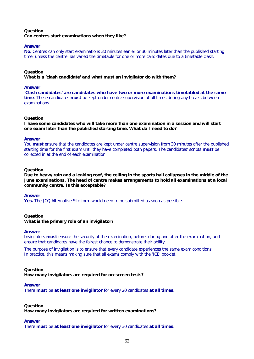### **Question Can centres start examinations when they like?**

### **Answer**

**No.** Centres can only start examinations 30 minutes earlier or 30 minutes later than the published starting time, unless the centre has varied the timetable for one or more candidates due to a timetable clash.

### **Question**

**What is a 'clash candidate' and what must an invigilator do with them?**

### **Answer**

**'Clash candidates' are candidates who have two or more examinations timetabled at the same time**. These candidates **must** be kept under centre supervision at all times during any breaks between examinations.

### **Question**

**I have some candidates who will take more than one examination in a session and will start one exam later than the published starting time. What do I need to do?**

### **Answer**

You **must** ensure that the candidates are kept under centre supervision from 30 minutes after the published starting time for the first exam until they have completed both papers. The candidates' scripts **must** be collected in at the end of each examination.

### **Question**

**Due to heavy rain and a leaking roof, the ceiling in the sports hall collapses in the middle of the June examinations. The head of centre makes arrangements to hold all examinations at a local community centre. Is this acceptable?**

### **Answer**

**Yes.** The JCQ Alternative Site form would need to be submitted as soon as possible.

### **Question**

### **What is the primary role of an invigilator?**

### **Answer**

Invigilators **must** ensure the security of the examination, before, during and after the examination, and ensure that candidates have the fairest chance to demonstrate their ability.

The purpose of invigilation is to ensure that every candidate experiences the same exam conditions. In practice, this means making sure that all exams comply with the 'ICE' booklet.

### **Question**

**How many invigilators are required for on-screen tests?**

### **Answer**

There **must** be **at least one invigilator** for every 20 candidates **at all times**.

### **Question**

**How many invigilators are required for written examinations?**

### **Answer**

There **must** be **at least one invigilator** for every 30 candidates **at all times**.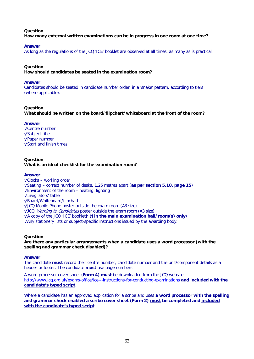### **Question How many external written examinations can be in progress in one room at one time?**

### **Answer**

As long as the regulations of the JCQ 'ICE' booklet are observed at all times, as many as is practical.

### **Question**

**How should candidates be seated in the examination room?**

#### **Answer**

Candidates should be seated in candidate number order, in a 'snake' pattern, according to tiers (where applicable).

### **Question**

**What should be written on the board/flipchart/whiteboard at the front of the room?**

### **Answer**

√Centre number √Subject title √Paper number √Start and finish times.

### **Question What is an ideal checklist for the examination room?**

### **Answer**

√Clocks – working order √Seating – correct number of desks, 1.25 metres apart (**as per section 5.10, page 15**) √Environment of the room – heating, lighting √Invigilators' table √Board/Whiteboard/flipchart √JCQ Mobile Phone poster outside the exam room (A3 size) √JCQ Warning to Candidates poster outside the exam room (A3 size) √A copy of the JCQ 'ICE' booklet**‡** (**‡in the main examination hall/room(s) only**) √Any stationery lists or subject-specific instructions issued by the awarding body.

### **Question**

**Are there any particular arrangements when a candidate uses a word processor (with the spelling and grammar check disabled)?**

### **Answer**

The candidate **must** record their centre number, candidate number and the unit/component details as a header or footer. The candidate **must** use page numbers.

A word processor cover sheet (**Form 4**) **must** be downloaded from the JCQ website <http://www.jcq.org.uk/exams-office/ice---instructions-for-conducting-examinations> **and included with the candidate's typed script**.

Where a candidate has an approved application for a scribe and uses **a word processor with the spelling and grammar check enabled a scribe cover sheet (Form 2) must be completed and included with the candidate's typed script**.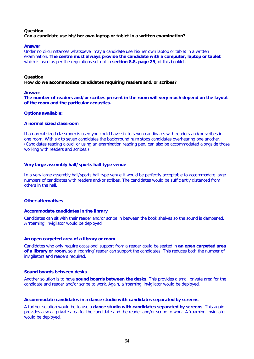### **Question Can a candidate use his/her own laptop or tablet in a written examination?**

### **Answer**

Under no circumstances whatsoever may a candidate use his/her own laptop or tablet in a written examination. **The centre must always provide the candidate with a computer, laptop or tablet** which is used as per the regulations set out in **section 8.8, page 25**, of this booklet.

### **Question**

**How do we accommodate candidates requiring readers and/or scribes?**

### **Answer**

**The number of readers and/or scribes present in the room will very much depend on the layout of the room and the particular acoustics.**

### **Options available:**

### **A normal sized classroom**

If a normal sized classroom is used you could have six to seven candidates with readers and/or scribes in one room. With six to seven candidates the background hum stops candidates overhearing one another. (Candidates reading aloud, or using an examination reading pen, can also be accommodated alongside those working with readers and scribes.)

### **Very large assembly hall/sports hall type venue**

In a very large assembly hall/sports hall type venue it would be perfectly acceptable to accommodate large numbers of candidates with readers and/or scribes. The candidates would be sufficiently distanced from others in the hall.

### **Other alternatives**

### **Accommodate candidates in the library**

Candidates can sit with their reader and/or scribe in between the book shelves so the sound is dampened. A 'roaming' invigilator would be deployed.

### **An open carpeted area of a library or room**

Candidates who only require occasional support from a reader could be seated in **an open carpeted area of a library or room,** so a 'roaming' reader can support the candidates. This reduces both the number of invigilators and readers required.

### **Sound boards between desks**

Another solution is to have **sound boards between the desks**. This provides a small private area for the candidate and reader and/or scribe to work. Again, a 'roaming' invigilator would be deployed.

### **Accommodate candidates in a dance studio with candidates separated by screens**

A further solution would be to use a **dance studio with candidates separated by screens**. This again provides a small private area for the candidate and the reader and/or scribe to work. A 'roaming' invigilator would be deployed.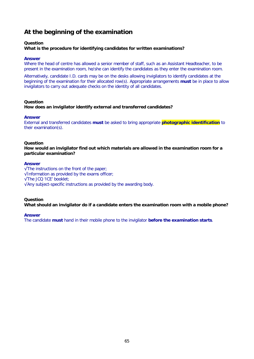# **At the beginning of the examination**

## **Question**

## **What is the procedure for identifying candidates for written examinations?**

#### **Answer**

Where the head of centre has allowed a senior member of staff, such as an Assistant Headteacher, to be present in the examination room, he/she can identify the candidates as they enter the examination room.

Alternatively, candidate I.D. cards may be on the desks allowing invigilators to identify candidates at the beginning of the examination for their allocated row(s). Appropriate arrangements **must** be in place to allow invigilators to carry out adequate checks on the identity of all candidates.

## **Question**

**How does an invigilator identify external and transferred candidates?**

## **Answer**

External and transferred candidates **must** be asked to bring appropriate **photographic identification** to their examination(s).

## **Question**

**How would an invigilator find out which materials are allowed in the examination room for a particular examination?**

## **Answer**

√The instructions on the front of the paper; √Information as provided by the exams officer; √The JCQ 'ICE' booklet; √Any subject-specific instructions as provided by the awarding body.

## **Question**

**What should an invigilator do if a candidate enters the examination room with a mobile phone?**

## **Answer**

The candidate **must** hand in their mobile phone to the invigilator **before the examination starts**.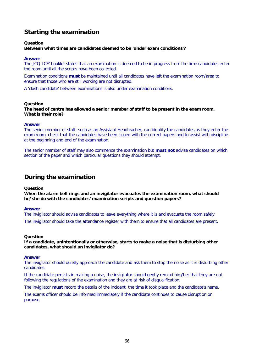# **Starting the examination**

## **Question**

## **Between what times are candidates deemed to be 'under exam conditions'?**

#### **Answer**

The JCQ 'ICE' booklet states that an examination is deemed to be in progress from the time candidates enter the room until all the scripts have been collected.

Examination conditions **must** be maintained until all candidates have left the examination room/area to ensure that those who are still working are not disrupted.

A 'clash candidate' between examinations is also under examination conditions.

#### **Question**

**The head of centre has allowed a senior member of staff to be present in the exam room. What is their role?**

#### **Answer**

The senior member of staff, such as an Assistant Headteacher, can identify the candidates as they enter the exam room, check that the candidates have been issued with the correct papers and to assist with discipline at the beginning and end of the examination.

The senior member of staff may also commence the examination but **must not** advise candidates on which section of the paper and which particular questions they should attempt.

## **During the examination**

#### **Question**

**When the alarm bell rings and an invigilator evacuates the examination room, what should he/she do with the candidates' examination scripts and question papers?**

## **Answer**

The invigilator should advise candidates to leave everything where it is and evacuate the room safely. The invigilator should take the attendance register with them to ensure that all candidates are present.

## **Question**

**If a candidate, unintentionally or otherwise, starts to make a noise that is disturbing other candidates, what should an invigilator do?**

#### **Answer**

The invigilator should quietly approach the candidate and ask them to stop the noise as it is disturbing other candidates.

If the candidate persists in making a noise, the invigilator should gently remind him/her that they are not following the regulations of the examination and they are at risk of disqualification.

The invigilator **must** record the details of the incident, the time it took place and the candidate's name.

The exams officer should be informed immediately if the candidate continues to cause disruption on purpose.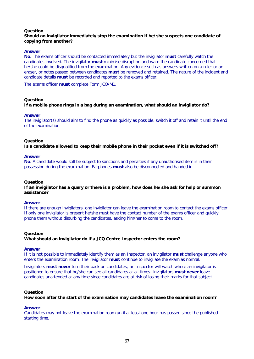## **Question**

## **Should an invigilator immediately stop the examination if he/she suspects one candidate of copying from another?**

## **Answer**

**No**. The exams officer should be contacted immediately but the invigilator **must** carefully watch the candidates involved. The invigilator **must** minimise disruption and warn the candidate concerned that he/she could be disqualified from the examination. Any evidence such as answers written on a ruler or an eraser, or notes passed between candidates **must** be removed and retained. The nature of the incident and candidate details **must** be recorded and reported to the exams officer.

The exams officer **must** complete Form JCQ/M1.

## **Question**

## **If a mobile phone rings in a bag during an examination, what should an invigilator do?**

#### **Answer**

The invigilator(s) should aim to find the phone as quickly as possible, switch it off and retain it until the end of the examination.

#### **Question**

**Is a candidate allowed to keep their mobile phone in their pocket even if it is switched off?**

#### **Answer**

**No**. A candidate would still be subject to sanctions and penalties if any unauthorised item is in their possession during the examination. Earphones **must** also be disconnected and handed in.

#### **Question**

**If an invigilator has a query or there is a problem, how does he/she ask for help or summon assistance?**

## **Answer**

If there are enough invigilators, one invigilator can leave the examination room to contact the exams officer. If only one invigilator is present he/she must have the contact number of the exams officer and quickly phone them without disturbing the candidates, asking him/her to come to the room.

#### **Question**

**What should an invigilator do if a JCQ Centre Inspector enters the room?**

#### **Answer**

If it is not possible to immediately identify them as an Inspector, an invigilator **must** challenge anyone who enters the examination room. The invigilator **must** continue to invigilate the exam as normal.

Invigilators **must never** turn their back on candidates; an Inspector will watch where an invigilator is positioned to ensure that he/she can see all candidates at all times. Invigilators **must never** leave candidates unattended at any time since candidates are at risk of losing their marks for that subject.

## **Question**

**How soon after the start of the examination may candidates leave the examination room?**

#### **Answer**

Candidates may not leave the examination room until at least one hour has passed since the published starting time.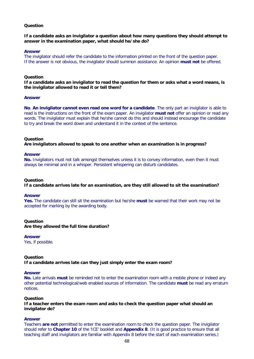## **Question**

## **If a candidate asks an invigilator a question about how many questions they should attempt to answer in the examination paper, what should he/she do?**

#### **Answer**

The invigilator should refer the candidate to the information printed on the front of the question paper. If the answer is not obvious, the invigilator should summon assistance. An opinion **must not** be offered.

#### **Question**

**If a candidate asks an invigilator to read the question for them or asks what a word means, is the invigilator allowed to read it or tell them?**

#### **Answer**

**No**. **An invigilator cannot even read one word for a candidate**. The only part an invigilator is able to read is the instructions on the front of the exam paper. An invigilator **must not** offer an opinion or read any words. The invigilator must explain that he/she cannot do this and should instead encourage the candidate to try and break the word down and understand it in the context of the sentence.

#### **Question**

**Are invigilators allowed to speak to one another when an examination is in progress?**

#### **Answer**

No. Invigilators must not talk amongst themselves unless it is to convey information, even then it must always be minimal and in a whisper. Persistent whispering can disturb candidates.

## **Question**

**If a candidate arrives late for an examination, are they still allowed to sit the examination?**

#### **Answer**

**Yes.** The candidate can still sit the examination but he/she **must** be warned that their work may not be accepted for marking by the awarding body.

## **Question**

**Are they allowed the full time duration?**

## **Answer**

Yes, if possible.

#### **Question**

**If a candidate arrives late can they just simply enter the exam room?**

## **Answer**

**No.** Late arrivals **must** be reminded not to enter the examination room with a mobile phone or indeed any other potential technological/web enabled sources of information. The candidate **must** be read any erratum notices.

## **Question**

**If a teacher enters the exam room and asks to check the question paper what should an invigilator do?**

#### **Answer**

Teachers **are not** permitted to enter the examination room to check the question paper. The invigilator should refer to **Chapter 10** of the 'ICE' booklet and **Appendix 8**. (It is good practice to ensure that all teaching staff and invigilators are familiar with Appendix 8 before the start of each examination series.)